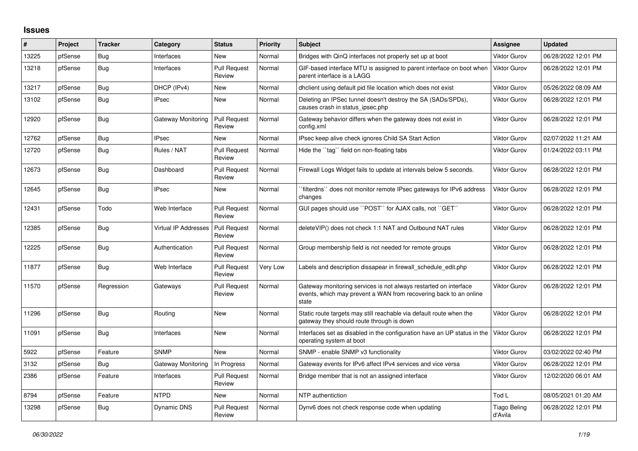## **Issues**

| #     | Project | <b>Tracker</b> | Category             | <b>Status</b>                 | <b>Priority</b> | <b>Subject</b>                                                                                                                                 | Assignee                       | <b>Updated</b>      |
|-------|---------|----------------|----------------------|-------------------------------|-----------------|------------------------------------------------------------------------------------------------------------------------------------------------|--------------------------------|---------------------|
| 13225 | pfSense | Bug            | Interfaces           | <b>New</b>                    | Normal          | Bridges with QinQ interfaces not properly set up at boot                                                                                       | <b>Viktor Gurov</b>            | 06/28/2022 12:01 PM |
| 13218 | pfSense | <b>Bug</b>     | Interfaces           | <b>Pull Request</b><br>Review | Normal          | GIF-based interface MTU is assigned to parent interface on boot when<br>parent interface is a LAGG                                             | <b>Viktor Gurov</b>            | 06/28/2022 12:01 PM |
| 13217 | pfSense | <b>Bug</b>     | DHCP (IPv4)          | <b>New</b>                    | Normal          | dhclient using default pid file location which does not exist                                                                                  | <b>Viktor Gurov</b>            | 05/26/2022 08:09 AM |
| 13102 | pfSense | Bug            | <b>IPsec</b>         | New                           | Normal          | Deleting an IPSec tunnel doesn't destroy the SA (SADs/SPDs),<br>causes crash in status ipsec.php                                               | <b>Viktor Gurov</b>            | 06/28/2022 12:01 PM |
| 12920 | pfSense | <b>Bug</b>     | Gateway Monitoring   | Pull Request<br>Review        | Normal          | Gateway behavior differs when the gateway does not exist in<br>config.xml                                                                      | <b>Viktor Gurov</b>            | 06/28/2022 12:01 PM |
| 12762 | pfSense | Bug            | <b>IPsec</b>         | <b>New</b>                    | Normal          | IPsec keep alive check ignores Child SA Start Action                                                                                           | <b>Viktor Gurov</b>            | 02/07/2022 11:21 AM |
| 12720 | pfSense | <b>Bug</b>     | Rules / NAT          | <b>Pull Request</b><br>Review | Normal          | Hide the "tag" field on non-floating tabs                                                                                                      | <b>Viktor Gurov</b>            | 01/24/2022 03:11 PM |
| 12673 | pfSense | Bug            | Dashboard            | <b>Pull Request</b><br>Review | Normal          | Firewall Logs Widget fails to update at intervals below 5 seconds.                                                                             | <b>Viktor Gurov</b>            | 06/28/2022 12:01 PM |
| 12645 | pfSense | Bug            | <b>IPsec</b>         | New                           | Normal          | `filterdns`` does not monitor remote IPsec gateways for IPv6 address<br>changes                                                                | <b>Viktor Gurov</b>            | 06/28/2022 12:01 PM |
| 12431 | pfSense | Todo           | Web Interface        | <b>Pull Request</b><br>Review | Normal          | GUI pages should use "POST" for AJAX calls, not "GET"                                                                                          | <b>Viktor Gurov</b>            | 06/28/2022 12:01 PM |
| 12385 | pfSense | Bug            | Virtual IP Addresses | <b>Pull Request</b><br>Review | Normal          | deleteVIP() does not check 1:1 NAT and Outbound NAT rules                                                                                      | <b>Viktor Gurov</b>            | 06/28/2022 12:01 PM |
| 12225 | pfSense | Bug            | Authentication       | <b>Pull Request</b><br>Review | Normal          | Group membership field is not needed for remote groups                                                                                         | <b>Viktor Gurov</b>            | 06/28/2022 12:01 PM |
| 11877 | pfSense | Bug            | Web Interface        | <b>Pull Request</b><br>Review | Very Low        | Labels and description dissapear in firewall schedule edit.php                                                                                 | <b>Viktor Gurov</b>            | 06/28/2022 12:01 PM |
| 11570 | pfSense | Regression     | Gateways             | <b>Pull Request</b><br>Review | Normal          | Gateway monitoring services is not always restarted on interface<br>events, which may prevent a WAN from recovering back to an online<br>state | <b>Viktor Gurov</b>            | 06/28/2022 12:01 PM |
| 11296 | pfSense | Bug            | Routing              | New                           | Normal          | Static route targets may still reachable via default route when the<br>gateway they should route through is down                               | <b>Viktor Gurov</b>            | 06/28/2022 12:01 PM |
| 11091 | pfSense | Bug            | Interfaces           | <b>New</b>                    | Normal          | Interfaces set as disabled in the configuration have an UP status in the<br>operating system at boot                                           | <b>Viktor Gurov</b>            | 06/28/2022 12:01 PM |
| 5922  | pfSense | Feature        | <b>SNMP</b>          | <b>New</b>                    | Normal          | SNMP - enable SNMP v3 functionality                                                                                                            | <b>Viktor Gurov</b>            | 03/02/2022 02:40 PM |
| 3132  | pfSense | Bug            | Gateway Monitoring   | In Progress                   | Normal          | Gateway events for IPv6 affect IPv4 services and vice versa                                                                                    | <b>Viktor Gurov</b>            | 06/28/2022 12:01 PM |
| 2386  | pfSense | Feature        | Interfaces           | <b>Pull Request</b><br>Review | Normal          | Bridge member that is not an assigned interface                                                                                                | <b>Viktor Gurov</b>            | 12/02/2020 06:01 AM |
| 8794  | pfSense | Feature        | <b>NTPD</b>          | <b>New</b>                    | Normal          | NTP authentiction                                                                                                                              | Tod L                          | 08/05/2021 01:20 AM |
| 13298 | pfSense | Bug            | Dynamic DNS          | <b>Pull Request</b><br>Review | Normal          | Dynv6 does not check response code when updating                                                                                               | <b>Tiago Beling</b><br>d'Avila | 06/28/2022 12:01 PM |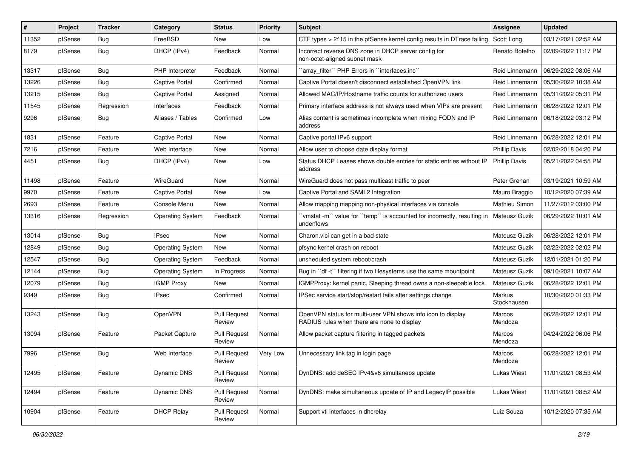| #     | Project | <b>Tracker</b> | Category                | <b>Status</b>                 | <b>Priority</b> | <b>Subject</b>                                                                                              | Assignee              | <b>Updated</b>      |
|-------|---------|----------------|-------------------------|-------------------------------|-----------------|-------------------------------------------------------------------------------------------------------------|-----------------------|---------------------|
| 11352 | pfSense | <b>Bug</b>     | FreeBSD                 | New                           | Low             | CTF types > 2^15 in the pfSense kernel config results in DTrace failing                                     | Scott Long            | 03/17/2021 02:52 AM |
| 8179  | pfSense | <b>Bug</b>     | DHCP (IPv4)             | Feedback                      | Normal          | Incorrect reverse DNS zone in DHCP server config for<br>non-octet-aligned subnet mask                       | Renato Botelho        | 02/09/2022 11:17 PM |
| 13317 | pfSense | Bug            | PHP Interpreter         | Feedback                      | Normal          | 'array filter'' PHP Errors in ''interfaces.inc''                                                            | Reid Linnemann        | 06/29/2022 08:06 AM |
| 13226 | pfSense | <b>Bug</b>     | Captive Portal          | Confirmed                     | Normal          | Captive Portal doesn't disconnect established OpenVPN link                                                  | Reid Linnemann        | 05/30/2022 10:38 AM |
| 13215 | pfSense | Bug            | Captive Portal          | Assigned                      | Normal          | Allowed MAC/IP/Hostname traffic counts for authorized users                                                 | Reid Linnemann        | 05/31/2022 05:31 PM |
| 11545 | pfSense | Regression     | Interfaces              | Feedback                      | Normal          | Primary interface address is not always used when VIPs are present                                          | Reid Linnemann        | 06/28/2022 12:01 PM |
| 9296  | pfSense | Bug            | Aliases / Tables        | Confirmed                     | Low             | Alias content is sometimes incomplete when mixing FQDN and IP<br>address                                    | Reid Linnemann        | 06/18/2022 03:12 PM |
| 1831  | pfSense | Feature        | <b>Captive Portal</b>   | New                           | Normal          | Captive portal IPv6 support                                                                                 | Reid Linnemann        | 06/28/2022 12:01 PM |
| 7216  | pfSense | Feature        | Web Interface           | <b>New</b>                    | Normal          | Allow user to choose date display format                                                                    | <b>Phillip Davis</b>  | 02/02/2018 04:20 PM |
| 4451  | pfSense | <b>Bug</b>     | DHCP (IPv4)             | New                           | Low             | Status DHCP Leases shows double entries for static entries without IP<br>address                            | <b>Phillip Davis</b>  | 05/21/2022 04:55 PM |
| 11498 | pfSense | Feature        | WireGuard               | New                           | Normal          | WireGuard does not pass multicast traffic to peer                                                           | Peter Grehan          | 03/19/2021 10:59 AM |
| 9970  | pfSense | Feature        | <b>Captive Portal</b>   | New                           | Low             | Captive Portal and SAML2 Integration                                                                        | Mauro Braggio         | 10/12/2020 07:39 AM |
| 2693  | pfSense | Feature        | Console Menu            | <b>New</b>                    | Normal          | Allow mapping mapping non-physical interfaces via console                                                   | <b>Mathieu Simon</b>  | 11/27/2012 03:00 PM |
| 13316 | pfSense | Regression     | <b>Operating System</b> | Feedback                      | Normal          | 'vmstat -m'` value for ''temp'' is accounted for incorrectly, resulting in<br>underflows                    | <b>Mateusz Guzik</b>  | 06/29/2022 10:01 AM |
| 13014 | pfSense | <b>Bug</b>     | <b>IPsec</b>            | <b>New</b>                    | Normal          | Charon.vici can get in a bad state                                                                          | <b>Mateusz Guzik</b>  | 06/28/2022 12:01 PM |
| 12849 | pfSense | Bug            | <b>Operating System</b> | New                           | Normal          | pfsync kernel crash on reboot                                                                               | Mateusz Guzik         | 02/22/2022 02:02 PM |
| 12547 | pfSense | Bug            | <b>Operating System</b> | Feedback                      | Normal          | unsheduled system reboot/crash                                                                              | Mateusz Guzik         | 12/01/2021 01:20 PM |
| 12144 | pfSense | <b>Bug</b>     | <b>Operating System</b> | In Progress                   | Normal          | Bug in "df -t" filtering if two filesystems use the same mountpoint                                         | <b>Mateusz Guzik</b>  | 09/10/2021 10:07 AM |
| 12079 | pfSense | <b>Bug</b>     | <b>IGMP Proxy</b>       | New                           | Normal          | IGMPProxy: kernel panic, Sleeping thread owns a non-sleepable lock                                          | Mateusz Guzik         | 06/28/2022 12:01 PM |
| 9349  | pfSense | <b>Bug</b>     | IPsec                   | Confirmed                     | Normal          | IPSec service start/stop/restart fails after settings change                                                | Markus<br>Stockhausen | 10/30/2020 01:33 PM |
| 13243 | pfSense | <b>Bug</b>     | OpenVPN                 | <b>Pull Request</b><br>Review | Normal          | OpenVPN status for multi-user VPN shows info icon to display<br>RADIUS rules when there are none to display | Marcos<br>Mendoza     | 06/28/2022 12:01 PM |
| 13094 | pfSense | Feature        | Packet Capture          | <b>Pull Request</b><br>Review | Normal          | Allow packet capture filtering in tagged packets                                                            | Marcos<br>Mendoza     | 04/24/2022 06:06 PM |
| 7996  | pfSense | <b>Bug</b>     | Web Interface           | <b>Pull Request</b><br>Review | Very Low        | Unnecessary link tag in login page                                                                          | Marcos<br>Mendoza     | 06/28/2022 12:01 PM |
| 12495 | pfSense | Feature        | Dynamic DNS             | <b>Pull Request</b><br>Review | Normal          | DynDNS: add deSEC IPv4&v6 simultaneos update                                                                | Lukas Wiest           | 11/01/2021 08:53 AM |
| 12494 | pfSense | Feature        | Dynamic DNS             | <b>Pull Request</b><br>Review | Normal          | DynDNS: make simultaneous update of IP and LegacyIP possible                                                | Lukas Wiest           | 11/01/2021 08:52 AM |
| 10904 | pfSense | Feature        | <b>DHCP Relay</b>       | <b>Pull Request</b><br>Review | Normal          | Support vti interfaces in dhcrelay                                                                          | Luiz Souza            | 10/12/2020 07:35 AM |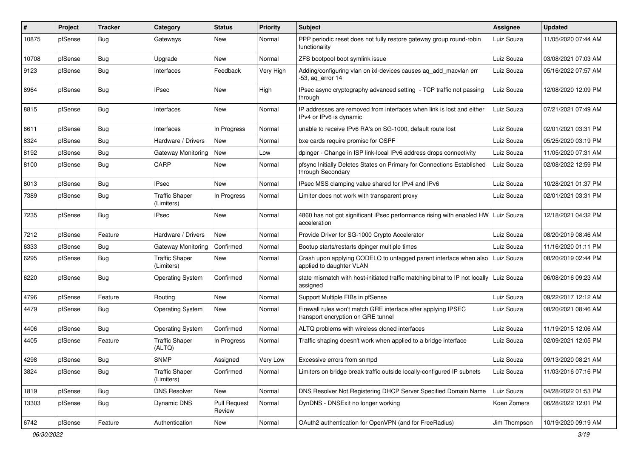| #     | Project | <b>Tracker</b> | Category                            | <b>Status</b>                 | <b>Priority</b> | <b>Subject</b>                                                                                      | Assignee     | <b>Updated</b>      |
|-------|---------|----------------|-------------------------------------|-------------------------------|-----------------|-----------------------------------------------------------------------------------------------------|--------------|---------------------|
| 10875 | pfSense | <b>Bug</b>     | Gateways                            | New                           | Normal          | PPP periodic reset does not fully restore gateway group round-robin<br>functionality                | Luiz Souza   | 11/05/2020 07:44 AM |
| 10708 | pfSense | Bug            | Upgrade                             | New                           | Normal          | ZFS bootpool boot symlink issue                                                                     | Luiz Souza   | 03/08/2021 07:03 AM |
| 9123  | pfSense | <b>Bug</b>     | Interfaces                          | Feedback                      | Very High       | Adding/configuring vlan on ixl-devices causes ag add macvlan err<br>$-53$ , aq error 14             | Luiz Souza   | 05/16/2022 07:57 AM |
| 8964  | pfSense | Bug            | <b>IPsec</b>                        | New                           | High            | IPsec async cryptography advanced setting - TCP traffic not passing<br>through                      | Luiz Souza   | 12/08/2020 12:09 PM |
| 8815  | pfSense | <b>Bug</b>     | Interfaces                          | New                           | Normal          | IP addresses are removed from interfaces when link is lost and either<br>IPv4 or IPv6 is dynamic    | Luiz Souza   | 07/21/2021 07:49 AM |
| 8611  | pfSense | <b>Bug</b>     | Interfaces                          | In Progress                   | Normal          | unable to receive IPv6 RA's on SG-1000, default route lost                                          | Luiz Souza   | 02/01/2021 03:31 PM |
| 8324  | pfSense | <b>Bug</b>     | Hardware / Drivers                  | New                           | Normal          | bxe cards require promisc for OSPF                                                                  | Luiz Souza   | 05/25/2020 03:19 PM |
| 8192  | pfSense | <b>Bug</b>     | Gateway Monitoring                  | New                           | Low             | dpinger - Change in ISP link-local IPv6 address drops connectivity                                  | Luiz Souza   | 11/05/2020 07:31 AM |
| 8100  | pfSense | Bug            | CARP                                | New                           | Normal          | pfsync Initially Deletes States on Primary for Connections Established<br>through Secondary         | Luiz Souza   | 02/08/2022 12:59 PM |
| 8013  | pfSense | Bug            | IPsec                               | New                           | Normal          | IPsec MSS clamping value shared for IPv4 and IPv6                                                   | Luiz Souza   | 10/28/2021 01:37 PM |
| 7389  | pfSense | <b>Bug</b>     | Traffic Shaper<br>(Limiters)        | In Progress                   | Normal          | Limiter does not work with transparent proxy                                                        | Luiz Souza   | 02/01/2021 03:31 PM |
| 7235  | pfSense | <b>Bug</b>     | IPsec                               | <b>New</b>                    | Normal          | 4860 has not got significant IPsec performance rising with enabled HW   Luiz Souza<br>acceleration  |              | 12/18/2021 04:32 PM |
| 7212  | pfSense | Feature        | Hardware / Drivers                  | <b>New</b>                    | Normal          | Provide Driver for SG-1000 Crypto Accelerator                                                       | Luiz Souza   | 08/20/2019 08:46 AM |
| 6333  | pfSense | <b>Bug</b>     | <b>Gateway Monitoring</b>           | Confirmed                     | Normal          | Bootup starts/restarts dpinger multiple times                                                       | Luiz Souza   | 11/16/2020 01:11 PM |
| 6295  | pfSense | <b>Bug</b>     | <b>Traffic Shaper</b><br>(Limiters) | <b>New</b>                    | Normal          | Crash upon applying CODELQ to untagged parent interface when also<br>applied to daughter VLAN       | Luiz Souza   | 08/20/2019 02:44 PM |
| 6220  | pfSense | <b>Bug</b>     | <b>Operating System</b>             | Confirmed                     | Normal          | state mismatch with host-initiated traffic matching binat to IP not locally<br>assigned             | Luiz Souza   | 06/08/2016 09:23 AM |
| 4796  | pfSense | Feature        | Routing                             | New                           | Normal          | Support Multiple FIBs in pfSense                                                                    | Luiz Souza   | 09/22/2017 12:12 AM |
| 4479  | pfSense | <b>Bug</b>     | <b>Operating System</b>             | New                           | Normal          | Firewall rules won't match GRE interface after applying IPSEC<br>transport encryption on GRE tunnel | Luiz Souza   | 08/20/2021 08:46 AM |
| 4406  | pfSense | <b>Bug</b>     | <b>Operating System</b>             | Confirmed                     | Normal          | ALTQ problems with wireless cloned interfaces                                                       | Luiz Souza   | 11/19/2015 12:06 AM |
| 4405  | pfSense | Feature        | <b>Traffic Shaper</b><br>(ALTQ)     | In Progress                   | Normal          | Traffic shaping doesn't work when applied to a bridge interface                                     | Luiz Souza   | 02/09/2021 12:05 PM |
| 4298  | pfSense | Bug            | <b>SNMP</b>                         | Assigned                      | Very Low        | Excessive errors from snmpd                                                                         | Luiz Souza   | 09/13/2020 08:21 AM |
| 3824  | pfSense | Bug            | <b>Traffic Shaper</b><br>(Limiters) | Confirmed                     | Normal          | Limiters on bridge break traffic outside locally-configured IP subnets                              | Luiz Souza   | 11/03/2016 07:16 PM |
| 1819  | pfSense | Bug            | <b>DNS Resolver</b>                 | New                           | Normal          | DNS Resolver Not Registering DHCP Server Specified Domain Name                                      | Luiz Souza   | 04/28/2022 01:53 PM |
| 13303 | pfSense | <b>Bug</b>     | Dynamic DNS                         | <b>Pull Request</b><br>Review | Normal          | DynDNS - DNSExit no longer working                                                                  | Koen Zomers  | 06/28/2022 12:01 PM |
| 6742  | pfSense | Feature        | Authentication                      | New                           | Normal          | OAuth2 authentication for OpenVPN (and for FreeRadius)                                              | Jim Thompson | 10/19/2020 09:19 AM |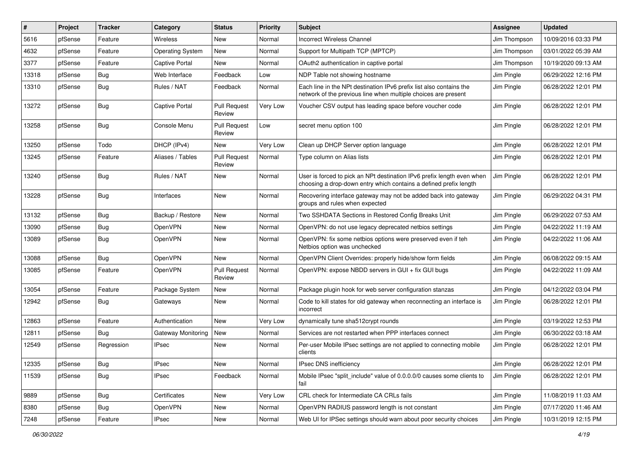| #     | Project | <b>Tracker</b> | Category                | <b>Status</b>                 | <b>Priority</b> | <b>Subject</b>                                                                                                                              | <b>Assignee</b> | <b>Updated</b>      |
|-------|---------|----------------|-------------------------|-------------------------------|-----------------|---------------------------------------------------------------------------------------------------------------------------------------------|-----------------|---------------------|
| 5616  | pfSense | Feature        | Wireless                | New                           | Normal          | <b>Incorrect Wireless Channel</b>                                                                                                           | Jim Thompson    | 10/09/2016 03:33 PM |
| 4632  | pfSense | Feature        | <b>Operating System</b> | New                           | Normal          | Support for Multipath TCP (MPTCP)                                                                                                           | Jim Thompson    | 03/01/2022 05:39 AM |
| 3377  | pfSense | Feature        | Captive Portal          | New                           | Normal          | OAuth2 authentication in captive portal                                                                                                     | Jim Thompson    | 10/19/2020 09:13 AM |
| 13318 | pfSense | <b>Bug</b>     | Web Interface           | Feedback                      | Low             | NDP Table not showing hostname                                                                                                              | Jim Pingle      | 06/29/2022 12:16 PM |
| 13310 | pfSense | <b>Bug</b>     | Rules / NAT             | Feedback                      | Normal          | Each line in the NPt destination IPv6 prefix list also contains the<br>network of the previous line when multiple choices are present       | Jim Pingle      | 06/28/2022 12:01 PM |
| 13272 | pfSense | Bug            | Captive Portal          | <b>Pull Request</b><br>Review | Very Low        | Voucher CSV output has leading space before voucher code                                                                                    | Jim Pingle      | 06/28/2022 12:01 PM |
| 13258 | pfSense | Bug            | Console Menu            | <b>Pull Request</b><br>Review | Low             | secret menu option 100                                                                                                                      | Jim Pingle      | 06/28/2022 12:01 PM |
| 13250 | pfSense | Todo           | DHCP (IPv4)             | New                           | Very Low        | Clean up DHCP Server option language                                                                                                        | Jim Pingle      | 06/28/2022 12:01 PM |
| 13245 | pfSense | Feature        | Aliases / Tables        | <b>Pull Request</b><br>Review | Normal          | Type column on Alias lists                                                                                                                  | Jim Pingle      | 06/28/2022 12:01 PM |
| 13240 | pfSense | Bug            | Rules / NAT             | New                           | Normal          | User is forced to pick an NPt destination IPv6 prefix length even when<br>choosing a drop-down entry which contains a defined prefix length | Jim Pingle      | 06/28/2022 12:01 PM |
| 13228 | pfSense | Bug            | Interfaces              | New                           | Normal          | Recovering interface gateway may not be added back into gateway<br>groups and rules when expected                                           | Jim Pingle      | 06/29/2022 04:31 PM |
| 13132 | pfSense | Bug            | Backup / Restore        | New                           | Normal          | Two SSHDATA Sections in Restored Config Breaks Unit                                                                                         | Jim Pingle      | 06/29/2022 07:53 AM |
| 13090 | pfSense | Bug            | OpenVPN                 | <b>New</b>                    | Normal          | OpenVPN: do not use legacy deprecated netbios settings                                                                                      | Jim Pingle      | 04/22/2022 11:19 AM |
| 13089 | pfSense | <b>Bug</b>     | OpenVPN                 | New                           | Normal          | OpenVPN: fix some netbios options were preserved even if teh<br>Netbios option was unchecked                                                | Jim Pingle      | 04/22/2022 11:06 AM |
| 13088 | pfSense | Bug            | OpenVPN                 | New                           | Normal          | OpenVPN Client Overrides: properly hide/show form fields                                                                                    | Jim Pingle      | 06/08/2022 09:15 AM |
| 13085 | pfSense | Feature        | OpenVPN                 | <b>Pull Request</b><br>Review | Normal          | OpenVPN: expose NBDD servers in GUI + fix GUI bugs                                                                                          | Jim Pingle      | 04/22/2022 11:09 AM |
| 13054 | pfSense | Feature        | Package System          | New                           | Normal          | Package plugin hook for web server configuration stanzas                                                                                    | Jim Pingle      | 04/12/2022 03:04 PM |
| 12942 | pfSense | <b>Bug</b>     | Gateways                | New                           | Normal          | Code to kill states for old gateway when reconnecting an interface is<br>incorrect                                                          | Jim Pingle      | 06/28/2022 12:01 PM |
| 12863 | pfSense | Feature        | Authentication          | New                           | Very Low        | dynamically tune sha512crypt rounds                                                                                                         | Jim Pingle      | 03/19/2022 12:53 PM |
| 12811 | pfSense | Bug            | Gateway Monitoring      | New                           | Normal          | Services are not restarted when PPP interfaces connect                                                                                      | Jim Pingle      | 06/30/2022 03:18 AM |
| 12549 | pfSense | Regression     | IPsec                   | New                           | Normal          | Per-user Mobile IPsec settings are not applied to connecting mobile<br>clients                                                              | Jim Pingle      | 06/28/2022 12:01 PM |
| 12335 | pfSense | Bug            | <b>IPsec</b>            | New                           | Normal          | IPsec DNS inefficiency                                                                                                                      | Jim Pingle      | 06/28/2022 12:01 PM |
| 11539 | pfSense | <b>Bug</b>     | IPsec                   | Feedback                      | Normal          | Mobile IPsec "split include" value of 0.0.0.0/0 causes some clients to<br>fail                                                              | Jim Pingle      | 06/28/2022 12:01 PM |
| 9889  | pfSense | Bug            | Certificates            | New                           | Very Low        | CRL check for Intermediate CA CRLs fails                                                                                                    | Jim Pingle      | 11/08/2019 11:03 AM |
| 8380  | pfSense | Bug            | OpenVPN                 | New                           | Normal          | OpenVPN RADIUS password length is not constant                                                                                              | Jim Pingle      | 07/17/2020 11:46 AM |
| 7248  | pfSense | Feature        | IPsec                   | New                           | Normal          | Web UI for IPSec settings should warn about poor security choices                                                                           | Jim Pingle      | 10/31/2019 12:15 PM |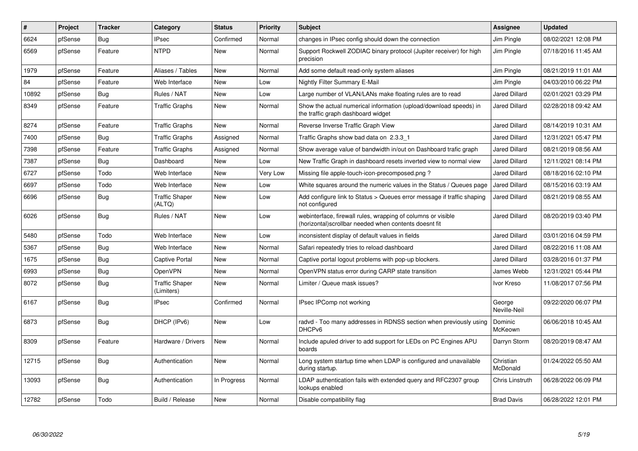| #     | Project | <b>Tracker</b> | Category                            | <b>Status</b> | <b>Priority</b> | <b>Subject</b>                                                                                                         | Assignee               | <b>Updated</b>      |
|-------|---------|----------------|-------------------------------------|---------------|-----------------|------------------------------------------------------------------------------------------------------------------------|------------------------|---------------------|
| 6624  | pfSense | Bug            | <b>IPsec</b>                        | Confirmed     | Normal          | changes in IPsec config should down the connection                                                                     | Jim Pingle             | 08/02/2021 12:08 PM |
| 6569  | pfSense | Feature        | <b>NTPD</b>                         | New           | Normal          | Support Rockwell ZODIAC binary protocol (Jupiter receiver) for high<br>precision                                       | Jim Pingle             | 07/18/2016 11:45 AM |
| 1979  | pfSense | Feature        | Aliases / Tables                    | New           | Normal          | Add some default read-only system aliases                                                                              | Jim Pingle             | 08/21/2019 11:01 AM |
| 84    | pfSense | Feature        | Web Interface                       | New           | Low             | Nightly Filter Summary E-Mail                                                                                          | Jim Pingle             | 04/03/2010 06:22 PM |
| 10892 | pfSense | <b>Bug</b>     | Rules / NAT                         | New           | Low             | Large number of VLAN/LANs make floating rules are to read                                                              | <b>Jared Dillard</b>   | 02/01/2021 03:29 PM |
| 8349  | pfSense | Feature        | <b>Traffic Graphs</b>               | <b>New</b>    | Normal          | Show the actual numerical information (upload/download speeds) in<br>the traffic graph dashboard widget                | <b>Jared Dillard</b>   | 02/28/2018 09:42 AM |
| 8274  | pfSense | Feature        | <b>Traffic Graphs</b>               | New           | Normal          | Reverse Inverse Traffic Graph View                                                                                     | <b>Jared Dillard</b>   | 08/14/2019 10:31 AM |
| 7400  | pfSense | Bug            | <b>Traffic Graphs</b>               | Assigned      | Normal          | Traffic Graphs show bad data on 2.3.3 1                                                                                | Jared Dillard          | 12/31/2021 05:47 PM |
| 7398  | pfSense | Feature        | <b>Traffic Graphs</b>               | Assigned      | Normal          | Show average value of bandwidth in/out on Dashboard trafic graph                                                       | Jared Dillard          | 08/21/2019 08:56 AM |
| 7387  | pfSense | Bug            | Dashboard                           | <b>New</b>    | Low             | New Traffic Graph in dashboard resets inverted view to normal view                                                     | <b>Jared Dillard</b>   | 12/11/2021 08:14 PM |
| 6727  | pfSense | Todo           | Web Interface                       | <b>New</b>    | Very Low        | Missing file apple-touch-icon-precomposed.png?                                                                         | <b>Jared Dillard</b>   | 08/18/2016 02:10 PM |
| 6697  | pfSense | Todo           | Web Interface                       | New           | Low             | White squares around the numeric values in the Status / Queues page                                                    | <b>Jared Dillard</b>   | 08/15/2016 03:19 AM |
| 6696  | pfSense | <b>Bug</b>     | <b>Traffic Shaper</b><br>(ALTQ)     | New           | Low             | Add configure link to Status > Queues error message if traffic shaping<br>not configured                               | <b>Jared Dillard</b>   | 08/21/2019 08:55 AM |
| 6026  | pfSense | <b>Bug</b>     | Rules / NAT                         | New           | Low             | webinterface, firewall rules, wrapping of columns or visible<br>(horizontal) scrollbar needed when contents doesnt fit | <b>Jared Dillard</b>   | 08/20/2019 03:40 PM |
| 5480  | pfSense | Todo           | Web Interface                       | <b>New</b>    | Low             | inconsistent display of default values in fields                                                                       | <b>Jared Dillard</b>   | 03/01/2016 04:59 PM |
| 5367  | pfSense | Bug            | Web Interface                       | New           | Normal          | Safari repeatedly tries to reload dashboard                                                                            | <b>Jared Dillard</b>   | 08/22/2016 11:08 AM |
| 1675  | pfSense | <b>Bug</b>     | <b>Captive Portal</b>               | <b>New</b>    | Normal          | Captive portal logout problems with pop-up blockers.                                                                   | <b>Jared Dillard</b>   | 03/28/2016 01:37 PM |
| 6993  | pfSense | <b>Bug</b>     | OpenVPN                             | <b>New</b>    | Normal          | OpenVPN status error during CARP state transition                                                                      | James Webb             | 12/31/2021 05:44 PM |
| 8072  | pfSense | <b>Bug</b>     | <b>Traffic Shaper</b><br>(Limiters) | New           | Normal          | Limiter / Queue mask issues?                                                                                           | Ivor Kreso             | 11/08/2017 07:56 PM |
| 6167  | pfSense | Bug            | <b>IPsec</b>                        | Confirmed     | Normal          | IPsec IPComp not working                                                                                               | George<br>Neville-Neil | 09/22/2020 06:07 PM |
| 6873  | pfSense | <b>Bug</b>     | DHCP (IPv6)                         | <b>New</b>    | Low             | radvd - Too many addresses in RDNSS section when previously using<br>DHCP <sub>v6</sub>                                | Dominic<br>McKeown     | 06/06/2018 10:45 AM |
| 8309  | pfSense | Feature        | Hardware / Drivers                  | New           | Normal          | Include apuled driver to add support for LEDs on PC Engines APU<br>boards                                              | Darryn Storm           | 08/20/2019 08:47 AM |
| 12715 | pfSense | <b>Bug</b>     | Authentication                      | New           | Normal          | Long system startup time when LDAP is configured and unavailable<br>during startup.                                    | Christian<br>McDonald  | 01/24/2022 05:50 AM |
| 13093 | pfSense | <b>Bug</b>     | Authentication                      | In Progress   | Normal          | LDAP authentication fails with extended query and RFC2307 group<br>lookups enabled                                     | Chris Linstruth        | 06/28/2022 06:09 PM |
| 12782 | pfSense | Todo           | Build / Release                     | New           | Normal          | Disable compatibility flag                                                                                             | <b>Brad Davis</b>      | 06/28/2022 12:01 PM |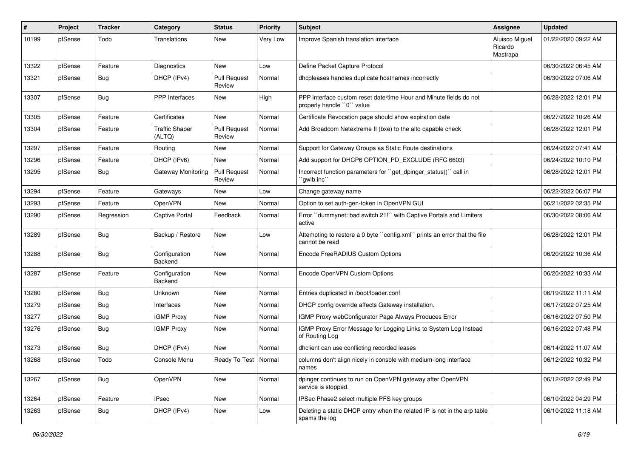| #     | Project | <b>Tracker</b> | Category                        | <b>Status</b>                 | <b>Priority</b> | <b>Subject</b>                                                                                  | <b>Assignee</b>                       | <b>Updated</b>      |
|-------|---------|----------------|---------------------------------|-------------------------------|-----------------|-------------------------------------------------------------------------------------------------|---------------------------------------|---------------------|
| 10199 | pfSense | Todo           | Translations                    | New                           | Very Low        | Improve Spanish translation interface                                                           | Aluisco Miguel<br>Ricardo<br>Mastrapa | 01/22/2020 09:22 AM |
| 13322 | pfSense | Feature        | <b>Diagnostics</b>              | New                           | Low             | Define Packet Capture Protocol                                                                  |                                       | 06/30/2022 06:45 AM |
| 13321 | pfSense | <b>Bug</b>     | DHCP (IPv4)                     | <b>Pull Request</b><br>Review | Normal          | dhcpleases handles duplicate hostnames incorrectly                                              |                                       | 06/30/2022 07:06 AM |
| 13307 | pfSense | Bug            | <b>PPP</b> Interfaces           | <b>New</b>                    | High            | PPP interface custom reset date/time Hour and Minute fields do not<br>properly handle "0" value |                                       | 06/28/2022 12:01 PM |
| 13305 | pfSense | Feature        | Certificates                    | New                           | Normal          | Certificate Revocation page should show expiration date                                         |                                       | 06/27/2022 10:26 AM |
| 13304 | pfSense | Feature        | <b>Traffic Shaper</b><br>(ALTQ) | <b>Pull Request</b><br>Review | Normal          | Add Broadcom Netextreme II (bxe) to the altg capable check                                      |                                       | 06/28/2022 12:01 PM |
| 13297 | pfSense | Feature        | Routing                         | New                           | Normal          | Support for Gateway Groups as Static Route destinations                                         |                                       | 06/24/2022 07:41 AM |
| 13296 | pfSense | Feature        | DHCP (IPv6)                     | New                           | Normal          | Add support for DHCP6 OPTION_PD_EXCLUDE (RFC 6603)                                              |                                       | 06/24/2022 10:10 PM |
| 13295 | pfSense | Bug            | Gateway Monitoring              | <b>Pull Request</b><br>Review | Normal          | Incorrect function parameters for "get_dpinger_status()" call in<br>'awlb.inc                   |                                       | 06/28/2022 12:01 PM |
| 13294 | pfSense | Feature        | Gateways                        | <b>New</b>                    | Low             | Change gateway name                                                                             |                                       | 06/22/2022 06:07 PM |
| 13293 | pfSense | Feature        | OpenVPN                         | New                           | Normal          | Option to set auth-gen-token in OpenVPN GUI                                                     |                                       | 06/21/2022 02:35 PM |
| 13290 | pfSense | Regression     | Captive Portal                  | Feedback                      | Normal          | Error "dummynet: bad switch 21!" with Captive Portals and Limiters<br>active                    |                                       | 06/30/2022 08:06 AM |
| 13289 | pfSense | <b>Bug</b>     | Backup / Restore                | New                           | Low             | Attempting to restore a 0 byte "config.xml" prints an error that the file<br>cannot be read     |                                       | 06/28/2022 12:01 PM |
| 13288 | pfSense | Bug            | Configuration<br>Backend        | <b>New</b>                    | Normal          | Encode FreeRADIUS Custom Options                                                                |                                       | 06/20/2022 10:36 AM |
| 13287 | pfSense | Feature        | Configuration<br>Backend        | <b>New</b>                    | Normal          | Encode OpenVPN Custom Options                                                                   |                                       | 06/20/2022 10:33 AM |
| 13280 | pfSense | Bug            | Unknown                         | New                           | Normal          | Entries duplicated in /boot/loader.conf                                                         |                                       | 06/19/2022 11:11 AM |
| 13279 | pfSense | <b>Bug</b>     | Interfaces                      | New                           | Normal          | DHCP config override affects Gateway installation.                                              |                                       | 06/17/2022 07:25 AM |
| 13277 | pfSense | <b>Bug</b>     | <b>IGMP Proxy</b>               | New                           | Normal          | IGMP Proxy webConfigurator Page Always Produces Error                                           |                                       | 06/16/2022 07:50 PM |
| 13276 | pfSense | <b>Bug</b>     | <b>IGMP Proxy</b>               | New                           | Normal          | IGMP Proxy Error Message for Logging Links to System Log Instead<br>of Routing Log              |                                       | 06/16/2022 07:48 PM |
| 13273 | pfSense | <b>Bug</b>     | DHCP (IPv4)                     | New                           | Normal          | dhclient can use conflicting recorded leases                                                    |                                       | 06/14/2022 11:07 AM |
| 13268 | pfSense | Todo           | Console Menu                    | Ready To Test   Normal        |                 | columns don't align nicely in console with medium-long interface<br>names                       |                                       | 06/12/2022 10:32 PM |
| 13267 | pfSense | <b>Bug</b>     | OpenVPN                         | New                           | Normal          | dpinger continues to run on OpenVPN gateway after OpenVPN<br>service is stopped.                |                                       | 06/12/2022 02:49 PM |
| 13264 | pfSense | Feature        | <b>IPsec</b>                    | New                           | Normal          | IPSec Phase2 select multiple PFS key groups                                                     |                                       | 06/10/2022 04:29 PM |
| 13263 | pfSense | <b>Bug</b>     | DHCP (IPv4)                     | New                           | Low             | Deleting a static DHCP entry when the related IP is not in the arp table<br>spams the log       |                                       | 06/10/2022 11:18 AM |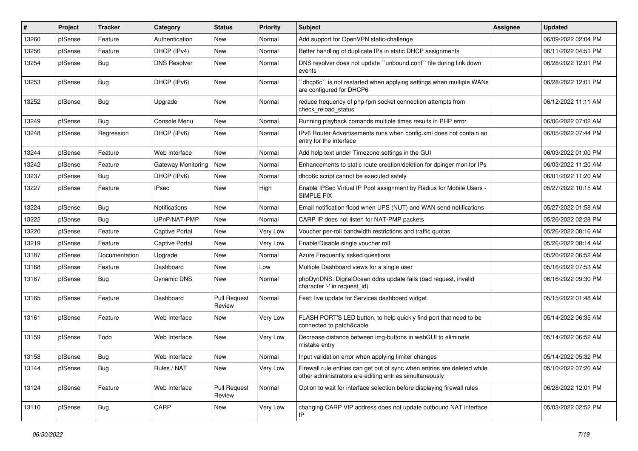| #     | Project | <b>Tracker</b> | Category                  | <b>Status</b>                 | <b>Priority</b> | <b>Subject</b>                                                                                                                      | Assignee | <b>Updated</b>      |
|-------|---------|----------------|---------------------------|-------------------------------|-----------------|-------------------------------------------------------------------------------------------------------------------------------------|----------|---------------------|
| 13260 | pfSense | Feature        | Authentication            | New                           | Normal          | Add support for OpenVPN static-challenge                                                                                            |          | 06/09/2022 02:04 PM |
| 13256 | pfSense | Feature        | DHCP (IPv4)               | New                           | Normal          | Better handling of duplicate IPs in static DHCP assignments                                                                         |          | 06/11/2022 04:51 PM |
| 13254 | pfSense | Bug            | <b>DNS Resolver</b>       | New                           | Normal          | DNS resolver does not update "unbound.conf" file during link down<br>events                                                         |          | 06/28/2022 12:01 PM |
| 13253 | pfSense | Bug            | DHCP (IPv6)               | New                           | Normal          | 'dhcp6c'' is not restarted when applying settings when multiple WANs<br>are configured for DHCP6                                    |          | 06/28/2022 12:01 PM |
| 13252 | pfSense | Bug            | Upgrade                   | New                           | Normal          | reduce frequency of php-fpm socket connection attempts from<br>check reload status                                                  |          | 06/12/2022 11:11 AM |
| 13249 | pfSense | Bug            | Console Menu              | New                           | Normal          | Running playback comands multiple times results in PHP error                                                                        |          | 06/06/2022 07:02 AM |
| 13248 | pfSense | Regression     | DHCP (IPv6)               | New                           | Normal          | IPv6 Router Advertisements runs when config.xml does not contain an<br>entry for the interface                                      |          | 06/05/2022 07:44 PM |
| 13244 | pfSense | Feature        | Web Interface             | New                           | Normal          | Add help text under Timezone settings in the GUI                                                                                    |          | 06/03/2022 01:00 PM |
| 13242 | pfSense | Feature        | <b>Gateway Monitoring</b> | <b>New</b>                    | Normal          | Enhancements to static route creation/deletion for dpinger monitor IPs                                                              |          | 06/03/2022 11:20 AM |
| 13237 | pfSense | Bug            | DHCP (IPv6)               | New                           | Normal          | dhcp6c script cannot be executed safely                                                                                             |          | 06/01/2022 11:20 AM |
| 13227 | pfSense | Feature        | <b>IPsec</b>              | New                           | High            | Enable IPSec Virtual IP Pool assignment by Radius for Mobile Users -<br>SIMPLE FIX                                                  |          | 05/27/2022 10:15 AM |
| 13224 | pfSense | Bug            | Notifications             | <b>New</b>                    | Normal          | Email notification flood when UPS (NUT) and WAN send notifications                                                                  |          | 05/27/2022 01:58 AM |
| 13222 | pfSense | Bug            | UPnP/NAT-PMP              | New                           | Normal          | CARP IP does not listen for NAT-PMP packets                                                                                         |          | 05/26/2022 02:28 PM |
| 13220 | pfSense | Feature        | Captive Portal            | <b>New</b>                    | Very Low        | Voucher per-roll bandwidth restrictions and traffic quotas                                                                          |          | 05/26/2022 08:16 AM |
| 13219 | pfSense | Feature        | Captive Portal            | New                           | Very Low        | Enable/Disable single voucher roll                                                                                                  |          | 05/26/2022 08:14 AM |
| 13187 | pfSense | Documentation  | Upgrade                   | New                           | Normal          | Azure Frequently asked questions                                                                                                    |          | 05/20/2022 06:52 AM |
| 13168 | pfSense | Feature        | Dashboard                 | New                           | Low             | Multiple Dashboard views for a single user                                                                                          |          | 05/16/2022 07:53 AM |
| 13167 | pfSense | <b>Bug</b>     | <b>Dynamic DNS</b>        | New                           | Normal          | phpDynDNS: DigitalOcean ddns update fails (bad request, invalid<br>character '-' in request_id)                                     |          | 06/16/2022 09:30 PM |
| 13165 | pfSense | Feature        | Dashboard                 | <b>Pull Request</b><br>Review | Normal          | Feat: live update for Services dashboard widget                                                                                     |          | 05/15/2022 01:48 AM |
| 13161 | pfSense | Feature        | Web Interface             | New                           | Very Low        | FLASH PORT'S LED button, to help quickly find port that need to be<br>connected to patch&cable                                      |          | 05/14/2022 06:35 AM |
| 13159 | pfSense | Todo           | Web Interface             | New                           | Very Low        | Decrease distance between img-buttons in webGUI to eliminate<br>mistake entry                                                       |          | 05/14/2022 06:52 AM |
| 13158 | pfSense | <b>Bug</b>     | Web Interface             | New                           | Normal          | Input validation error when applying limiter changes                                                                                |          | 05/14/2022 05:32 PM |
| 13144 | pfSense | <b>Bug</b>     | Rules / NAT               | New                           | Very Low        | Firewall rule entries can get out of sync when entries are deleted while<br>other administrators are editing entries simultaneously |          | 05/10/2022 07:26 AM |
| 13124 | pfSense | Feature        | Web Interface             | <b>Pull Request</b><br>Review | Normal          | Option to wait for interface selection before displaying firewall rules                                                             |          | 06/28/2022 12:01 PM |
| 13110 | pfSense | <b>Bug</b>     | CARP                      | New                           | Very Low        | changing CARP VIP address does not update outbound NAT interface                                                                    |          | 05/03/2022 02:52 PM |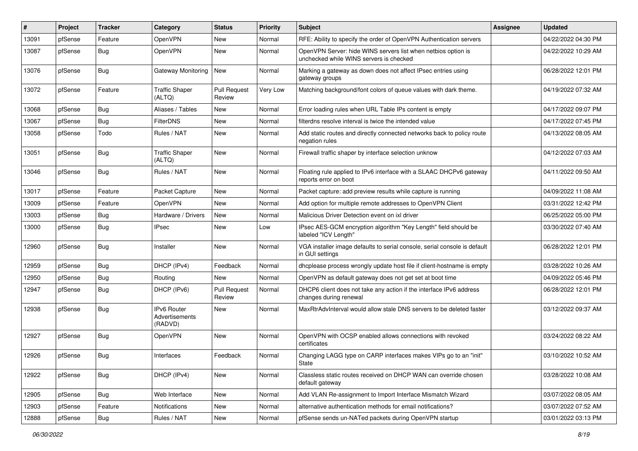| #     | Project | <b>Tracker</b> | Category                                        | <b>Status</b>                 | <b>Priority</b> | <b>Subject</b>                                                                                           | <b>Assignee</b> | <b>Updated</b>      |
|-------|---------|----------------|-------------------------------------------------|-------------------------------|-----------------|----------------------------------------------------------------------------------------------------------|-----------------|---------------------|
| 13091 | pfSense | Feature        | OpenVPN                                         | New                           | Normal          | RFE: Ability to specify the order of OpenVPN Authentication servers                                      |                 | 04/22/2022 04:30 PM |
| 13087 | pfSense | Bug            | <b>OpenVPN</b>                                  | <b>New</b>                    | Normal          | OpenVPN Server: hide WINS servers list when netbios option is<br>unchecked while WINS servers is checked |                 | 04/22/2022 10:29 AM |
| 13076 | pfSense | Bug            | Gateway Monitoring                              | <b>New</b>                    | Normal          | Marking a gateway as down does not affect IPsec entries using<br>gateway groups                          |                 | 06/28/2022 12:01 PM |
| 13072 | pfSense | Feature        | <b>Traffic Shaper</b><br>(ALTQ)                 | <b>Pull Request</b><br>Review | Very Low        | Matching background/font colors of queue values with dark theme.                                         |                 | 04/19/2022 07:32 AM |
| 13068 | pfSense | Bug            | Aliases / Tables                                | <b>New</b>                    | Normal          | Error loading rules when URL Table IPs content is empty                                                  |                 | 04/17/2022 09:07 PM |
| 13067 | pfSense | Bug            | <b>FilterDNS</b>                                | <b>New</b>                    | Normal          | filterdns resolve interval is twice the intended value                                                   |                 | 04/17/2022 07:45 PM |
| 13058 | pfSense | Todo           | Rules / NAT                                     | <b>New</b>                    | Normal          | Add static routes and directly connected networks back to policy route<br>negation rules                 |                 | 04/13/2022 08:05 AM |
| 13051 | pfSense | Bug            | <b>Traffic Shaper</b><br>(ALTQ)                 | <b>New</b>                    | Normal          | Firewall traffic shaper by interface selection unknow                                                    |                 | 04/12/2022 07:03 AM |
| 13046 | pfSense | Bug            | Rules / NAT                                     | <b>New</b>                    | Normal          | Floating rule applied to IPv6 interface with a SLAAC DHCPv6 gateway<br>reports error on boot             |                 | 04/11/2022 09:50 AM |
| 13017 | pfSense | Feature        | Packet Capture                                  | <b>New</b>                    | Normal          | Packet capture: add preview results while capture is running                                             |                 | 04/09/2022 11:08 AM |
| 13009 | pfSense | Feature        | OpenVPN                                         | <b>New</b>                    | Normal          | Add option for multiple remote addresses to OpenVPN Client                                               |                 | 03/31/2022 12:42 PM |
| 13003 | pfSense | Bug            | Hardware / Drivers                              | New                           | Normal          | Malicious Driver Detection event on ixl driver                                                           |                 | 06/25/2022 05:00 PM |
| 13000 | pfSense | Bug            | <b>IPsec</b>                                    | <b>New</b>                    | Low             | IPsec AES-GCM encryption algorithm "Key Length" field should be<br>labeled "ICV Length"                  |                 | 03/30/2022 07:40 AM |
| 12960 | pfSense | Bug            | Installer                                       | <b>New</b>                    | Normal          | VGA installer image defaults to serial console, serial console is default<br>in GUI settings             |                 | 06/28/2022 12:01 PM |
| 12959 | pfSense | Bug            | DHCP (IPv4)                                     | Feedback                      | Normal          | dhcplease process wrongly update host file if client-hostname is empty                                   |                 | 03/28/2022 10:26 AM |
| 12950 | pfSense | <b>Bug</b>     | Routing                                         | <b>New</b>                    | Normal          | OpenVPN as default gateway does not get set at boot time                                                 |                 | 04/09/2022 05:46 PM |
| 12947 | pfSense | <b>Bug</b>     | DHCP (IPv6)                                     | <b>Pull Request</b><br>Review | Normal          | DHCP6 client does not take any action if the interface IPv6 address<br>changes during renewal            |                 | 06/28/2022 12:01 PM |
| 12938 | pfSense | Bug            | <b>IPv6 Router</b><br>Advertisements<br>(RADVD) | <b>New</b>                    | Normal          | MaxRtrAdvInterval would allow stale DNS servers to be deleted faster                                     |                 | 03/12/2022 09:37 AM |
| 12927 | pfSense | Bug            | OpenVPN                                         | <b>New</b>                    | Normal          | OpenVPN with OCSP enabled allows connections with revoked<br>certificates                                |                 | 03/24/2022 08:22 AM |
| 12926 | pfSense | <b>Bug</b>     | Interfaces                                      | Feedback                      | Normal          | Changing LAGG type on CARP interfaces makes VIPs go to an "init"<br>State                                |                 | 03/10/2022 10:52 AM |
| 12922 | pfSense | <b>Bug</b>     | DHCP (IPv4)                                     | New                           | Normal          | Classless static routes received on DHCP WAN can override chosen<br>default gateway                      |                 | 03/28/2022 10:08 AM |
| 12905 | pfSense | Bug            | Web Interface                                   | New                           | Normal          | Add VLAN Re-assignment to Import Interface Mismatch Wizard                                               |                 | 03/07/2022 08:05 AM |
| 12903 | pfSense | Feature        | Notifications                                   | New                           | Normal          | alternative authentication methods for email notifications?                                              |                 | 03/07/2022 07:52 AM |
| 12888 | pfSense | <b>Bug</b>     | Rules / NAT                                     | New                           | Normal          | pfSense sends un-NATed packets during OpenVPN startup                                                    |                 | 03/01/2022 03:13 PM |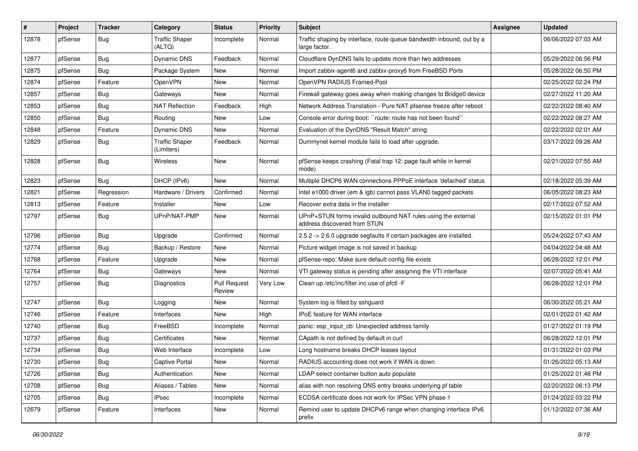| #     | Project | <b>Tracker</b> | Category                            | <b>Status</b>                 | <b>Priority</b> | <b>Subject</b>                                                                                | <b>Assignee</b> | <b>Updated</b>      |
|-------|---------|----------------|-------------------------------------|-------------------------------|-----------------|-----------------------------------------------------------------------------------------------|-----------------|---------------------|
| 12878 | pfSense | <b>Bug</b>     | <b>Traffic Shaper</b><br>(ALTQ)     | Incomplete                    | Normal          | Traffic shaping by interface, route queue bandwidth inbound, out by a<br>large factor.        |                 | 06/06/2022 07:03 AM |
| 12877 | pfSense | <b>Bug</b>     | <b>Dynamic DNS</b>                  | Feedback                      | Normal          | Cloudflare DynDNS fails to update more than two addresses                                     |                 | 05/29/2022 06:56 PM |
| 12875 | pfSense | <b>Bug</b>     | Package System                      | New                           | Normal          | Import zabbix-agent6 and zabbix-proxy6 from FreeBSD Ports                                     |                 | 05/28/2022 06:50 PM |
| 12874 | pfSense | Feature        | OpenVPN                             | <b>New</b>                    | Normal          | OpenVPN RADIUS Framed-Pool                                                                    |                 | 02/25/2022 02:24 PM |
| 12857 | pfSense | Bug            | Gateways                            | New                           | Normal          | Firewall gateway goes away when making changes to Bridge0 device                              |                 | 02/27/2022 11:20 AM |
| 12853 | pfSense | Bug            | NAT Reflection                      | Feedback                      | High            | Network Address Translation - Pure NAT pfsense freeze after reboot                            |                 | 02/22/2022 08:40 AM |
| 12850 | pfSense | Bug            | Routing                             | <b>New</b>                    | Low             | Console error during boot: "route: route has not been found"                                  |                 | 02/22/2022 08:27 AM |
| 12848 | pfSense | Feature        | Dynamic DNS                         | New                           | Normal          | Evaluation of the DynDNS "Result Match" string                                                |                 | 02/22/2022 02:01 AM |
| 12829 | pfSense | <b>Bug</b>     | <b>Traffic Shaper</b><br>(Limiters) | Feedback                      | Normal          | Dummynet kernel module fails to load after upgrade.                                           |                 | 03/17/2022 09:26 AM |
| 12828 | pfSense | Bug            | Wireless                            | <b>New</b>                    | Normal          | pfSense keeps crashing (Fatal trap 12: page fault while in kernel<br>mode)                    |                 | 02/21/2022 07:55 AM |
| 12823 | pfSense | Bug            | DHCP (IPv6)                         | New                           | Normal          | Multiple DHCP6 WAN connections PPPoE interface 'defached' status                              |                 | 02/18/2022 05:39 AM |
| 12821 | pfSense | Regression     | Hardware / Drivers                  | Confirmed                     | Normal          | Intel e1000 driver (em & igb) cannot pass VLAN0 tagged packets                                |                 | 06/05/2022 08:23 AM |
| 12813 | pfSense | Feature        | Installer                           | New                           | Low             | Recover extra data in the installer                                                           |                 | 02/17/2022 07:52 AM |
| 12797 | pfSense | <b>Bug</b>     | UPnP/NAT-PMP                        | New                           | Normal          | UPnP+STUN forms invalid outbound NAT rules using the external<br>address discovered from STUN |                 | 02/15/2022 01:01 PM |
| 12796 | pfSense | <b>Bug</b>     | Upgrade                             | Confirmed                     | Normal          | 2.5.2 -> 2.6.0 upgrade segfaults if certain packages are installed.                           |                 | 05/24/2022 07:43 AM |
| 12774 | pfSense | <b>Bug</b>     | Backup / Restore                    | New                           | Normal          | Picture widget image is not saved in backup                                                   |                 | 04/04/2022 04:48 AM |
| 12768 | pfSense | Feature        | Upgrade                             | New                           | Normal          | pfSense-repo: Make sure default config file exists                                            |                 | 06/28/2022 12:01 PM |
| 12764 | pfSense | <b>Bug</b>     | Gateways                            | New                           | Normal          | VTI gateway status is pending after assigning the VTI interface                               |                 | 02/07/2022 05:41 AM |
| 12757 | pfSense | Bug            | Diagnostics                         | <b>Pull Request</b><br>Review | Very Low        | Clean up /etc/inc/filter.inc use of pfctl -F                                                  |                 | 06/28/2022 12:01 PM |
| 12747 | pfSense | Bug            | Logging                             | New                           | Normal          | System log is filled by sshguard                                                              |                 | 06/30/2022 05:21 AM |
| 12746 | pfSense | Feature        | Interfaces                          | New                           | High            | IPoE feature for WAN interface                                                                |                 | 02/01/2022 01:42 AM |
| 12740 | pfSense | <b>Bug</b>     | FreeBSD                             | Incomplete                    | Normal          | panic: esp_input_cb: Unexpected address family                                                |                 | 01/27/2022 01:19 PM |
| 12737 | pfSense | <b>Bug</b>     | Certificates                        | <b>New</b>                    | Normal          | CApath is not defined by default in curl                                                      |                 | 06/28/2022 12:01 PM |
| 12734 | pfSense | <b>Bug</b>     | Web Interface                       | Incomplete                    | Low             | Long hostname breaks DHCP leases layout                                                       |                 | 01/31/2022 01:03 PM |
| 12730 | pfSense | Bug            | Captive Portal                      | New                           | Normal          | RADIUS accounting does not work if WAN is down                                                |                 | 01/26/2022 05:13 AM |
| 12726 | pfSense | Bug            | Authentication                      | New                           | Normal          | LDAP select container button auto populate                                                    |                 | 01/25/2022 01:48 PM |
| 12708 | pfSense | Bug            | Aliases / Tables                    | New                           | Normal          | alias with non resolving DNS entry breaks underlying pf table                                 |                 | 02/20/2022 06:13 PM |
| 12705 | pfSense | <b>Bug</b>     | <b>IPsec</b>                        | Incomplete                    | Normal          | ECDSA certificate does not work for IPSec VPN phase 1                                         |                 | 01/24/2022 03:22 PM |
| 12679 | pfSense | Feature        | Interfaces                          | New                           | Normal          | Remind user to update DHCPv6 range when changing interface IPv6<br>prefix                     |                 | 01/12/2022 07:36 AM |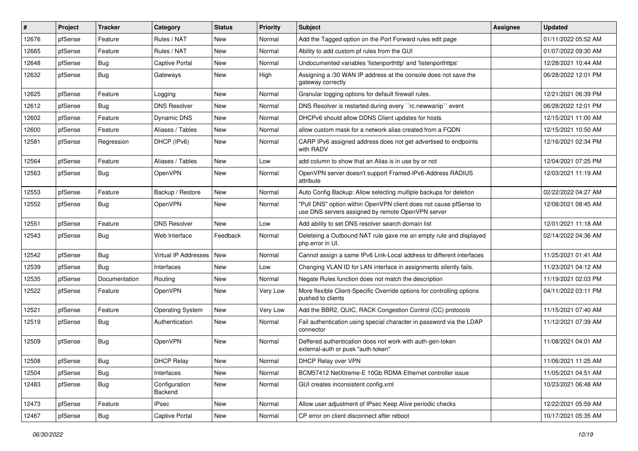| #     | Project | <b>Tracker</b> | Category                 | <b>Status</b> | <b>Priority</b> | Subject                                                                                                                | <b>Assignee</b> | <b>Updated</b>      |
|-------|---------|----------------|--------------------------|---------------|-----------------|------------------------------------------------------------------------------------------------------------------------|-----------------|---------------------|
| 12676 | pfSense | Feature        | Rules / NAT              | New           | Normal          | Add the Tagged option on the Port Forward rules edit page                                                              |                 | 01/11/2022 05:52 AM |
| 12665 | pfSense | Feature        | Rules / NAT              | <b>New</b>    | Normal          | Ability to add custom pf rules from the GUI                                                                            |                 | 01/07/2022 09:30 AM |
| 12648 | pfSense | Bug            | Captive Portal           | New           | Normal          | Undocumented variables 'listenporthttp' and 'listenporthttps'                                                          |                 | 12/28/2021 10:44 AM |
| 12632 | pfSense | Bug            | Gateways                 | New           | High            | Assigning a /30 WAN IP address at the console does not save the<br>gateway correctly                                   |                 | 06/28/2022 12:01 PM |
| 12625 | pfSense | Feature        | Logging                  | New           | Normal          | Granular logging options for default firewall rules.                                                                   |                 | 12/21/2021 06:39 PM |
| 12612 | pfSense | <b>Bug</b>     | <b>DNS Resolver</b>      | New           | Normal          | DNS Resolver is restarted during every "rc.newwanip" event                                                             |                 | 06/28/2022 12:01 PM |
| 12602 | pfSense | Feature        | Dynamic DNS              | New           | Normal          | DHCPv6 should allow DDNS Client updates for hosts                                                                      |                 | 12/15/2021 11:00 AM |
| 12600 | pfSense | Feature        | Aliases / Tables         | New           | Normal          | allow custom mask for a network alias created from a FQDN                                                              |                 | 12/15/2021 10:50 AM |
| 12581 | pfSense | Regression     | DHCP (IPv6)              | <b>New</b>    | Normal          | CARP IPv6 assigned address does not get advertised to endpoints<br>with RADV                                           |                 | 12/16/2021 02:34 PM |
| 12564 | pfSense | Feature        | Aliases / Tables         | New           | Low             | add column to show that an Alias is in use by or not                                                                   |                 | 12/04/2021 07:25 PM |
| 12563 | pfSense | Bug            | OpenVPN                  | New           | Normal          | OpenVPN server doesn't support Framed-IPv6-Address RADIUS<br>attribute                                                 |                 | 12/03/2021 11:19 AM |
| 12553 | pfSense | Feature        | Backup / Restore         | New           | Normal          | Auto Config Backup: Allow selecting multiple backups for deletion                                                      |                 | 02/22/2022 04:27 AM |
| 12552 | pfSense | <b>Bug</b>     | OpenVPN                  | <b>New</b>    | Normal          | "Pull DNS" option within OpenVPN client does not cause pfSense to<br>use DNS servers assigned by remote OpenVPN server |                 | 12/08/2021 08:45 AM |
| 12551 | pfSense | Feature        | <b>DNS Resolver</b>      | <b>New</b>    | Low             | Add ability to set DNS resolver search domain list                                                                     |                 | 12/01/2021 11:18 AM |
| 12543 | pfSense | <b>Bug</b>     | Web Interface            | Feedback      | Normal          | Deleteing a Outbound NAT rule gave me an empty rule and displayed<br>php error in UI.                                  |                 | 02/14/2022 04:36 AM |
| 12542 | pfSense | <b>Bug</b>     | Virtual IP Addresses     | New           | Normal          | Cannot assign a same IPv6 Link-Local address to different interfaces                                                   |                 | 11/25/2021 01:41 AM |
| 12539 | pfSense | Bug            | Interfaces               | New           | Low             | Changing VLAN ID for LAN interface in assignments silently fails.                                                      |                 | 11/23/2021 04:12 AM |
| 12535 | pfSense | Documentation  | Routing                  | New           | Normal          | Negate Rules function does not match the description                                                                   |                 | 11/19/2021 02:03 PM |
| 12522 | pfSense | Feature        | OpenVPN                  | New           | Very Low        | More flexible Client-Specific Override options for controlling options<br>pushed to clients                            |                 | 04/11/2022 03:11 PM |
| 12521 | pfSense | Feature        | <b>Operating System</b>  | <b>New</b>    | Very Low        | Add the BBR2, QUIC, RACK Congestion Control (CC) protocols                                                             |                 | 11/15/2021 07:40 AM |
| 12519 | pfSense | <b>Bug</b>     | Authentication           | New           | Normal          | Fail authentication using special character in password via the LDAP<br>connector                                      |                 | 11/12/2021 07:39 AM |
| 12509 | pfSense | Bug            | OpenVPN                  | New           | Normal          | Deffered authentication does not work with auth-gen-token<br>external-auth or pusk "auth-token"                        |                 | 11/08/2021 04:01 AM |
| 12508 | pfSense | <b>Bug</b>     | <b>DHCP Relay</b>        | New           | Normal          | DHCP Relay over VPN                                                                                                    |                 | 11/06/2021 11:25 AM |
| 12504 | pfSense | Bug            | Interfaces               | New           | Normal          | BCM57412 NetXtreme-E 10Gb RDMA Ethernet controller issue                                                               |                 | 11/05/2021 04:51 AM |
| 12483 | pfSense | <b>Bug</b>     | Configuration<br>Backend | New           | Normal          | GUI creates inconsistent config.xml                                                                                    |                 | 10/23/2021 06:48 AM |
| 12473 | pfSense | Feature        | <b>IPsec</b>             | New           | Normal          | Allow user adjustment of IPsec Keep Alive periodic checks                                                              |                 | 12/22/2021 05:59 AM |
| 12467 | pfSense | Bug            | Captive Portal           | New           | Normal          | CP error on client disconnect after reboot                                                                             |                 | 10/17/2021 05:35 AM |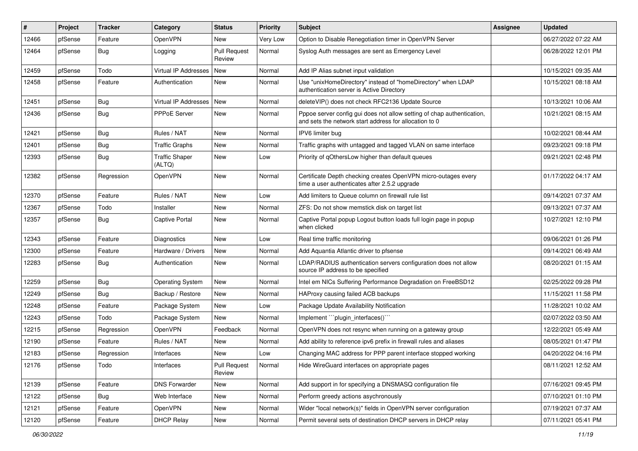| #     | Project | <b>Tracker</b> | Category                        | <b>Status</b>                 | <b>Priority</b> | <b>Subject</b>                                                                                                                   | <b>Assignee</b> | <b>Updated</b>      |
|-------|---------|----------------|---------------------------------|-------------------------------|-----------------|----------------------------------------------------------------------------------------------------------------------------------|-----------------|---------------------|
| 12466 | pfSense | Feature        | OpenVPN                         | New                           | Very Low        | Option to Disable Renegotiation timer in OpenVPN Server                                                                          |                 | 06/27/2022 07:22 AM |
| 12464 | pfSense | <b>Bug</b>     | Logging                         | <b>Pull Request</b><br>Review | Normal          | Syslog Auth messages are sent as Emergency Level                                                                                 |                 | 06/28/2022 12:01 PM |
| 12459 | pfSense | Todo           | Virtual IP Addresses            | <b>New</b>                    | Normal          | Add IP Alias subnet input validation                                                                                             |                 | 10/15/2021 09:35 AM |
| 12458 | pfSense | Feature        | Authentication                  | <b>New</b>                    | Normal          | Use "unixHomeDirectory" instead of "homeDirectory" when LDAP<br>authentication server is Active Directory                        |                 | 10/15/2021 08:18 AM |
| 12451 | pfSense | <b>Bug</b>     | Virtual IP Addresses            | <b>New</b>                    | Normal          | deleteVIP() does not check RFC2136 Update Source                                                                                 |                 | 10/13/2021 10:06 AM |
| 12436 | pfSense | Bug            | PPPoE Server                    | <b>New</b>                    | Normal          | Pppoe server config gui does not allow setting of chap authentication,<br>and sets the network start address for allocation to 0 |                 | 10/21/2021 08:15 AM |
| 12421 | pfSense | Bug            | Rules / NAT                     | <b>New</b>                    | Normal          | IPV6 limiter bug                                                                                                                 |                 | 10/02/2021 08:44 AM |
| 12401 | pfSense | <b>Bug</b>     | <b>Traffic Graphs</b>           | New                           | Normal          | Traffic graphs with untagged and tagged VLAN on same interface                                                                   |                 | 09/23/2021 09:18 PM |
| 12393 | pfSense | <b>Bug</b>     | <b>Traffic Shaper</b><br>(ALTQ) | New                           | Low             | Priority of gOthersLow higher than default queues                                                                                |                 | 09/21/2021 02:48 PM |
| 12382 | pfSense | Regression     | <b>OpenVPN</b>                  | <b>New</b>                    | Normal          | Certificate Depth checking creates OpenVPN micro-outages every<br>time a user authenticates after 2.5.2 upgrade                  |                 | 01/17/2022 04:17 AM |
| 12370 | pfSense | Feature        | Rules / NAT                     | <b>New</b>                    | Low             | Add limiters to Queue column on firewall rule list                                                                               |                 | 09/14/2021 07:37 AM |
| 12367 | pfSense | Todo           | Installer                       | New                           | Normal          | ZFS: Do not show memstick disk on target list                                                                                    |                 | 09/13/2021 07:37 AM |
| 12357 | pfSense | <b>Bug</b>     | Captive Portal                  | New                           | Normal          | Captive Portal popup Logout button loads full login page in popup<br>when clicked                                                |                 | 10/27/2021 12:10 PM |
| 12343 | pfSense | Feature        | <b>Diagnostics</b>              | <b>New</b>                    | Low             | Real time traffic monitoring                                                                                                     |                 | 09/06/2021 01:26 PM |
| 12300 | pfSense | Feature        | Hardware / Drivers              | <b>New</b>                    | Normal          | Add Aquantia Atlantic driver to pfsense                                                                                          |                 | 09/14/2021 06:49 AM |
| 12283 | pfSense | <b>Bug</b>     | Authentication                  | New                           | Normal          | LDAP/RADIUS authentication servers configuration does not allow<br>source IP address to be specified                             |                 | 08/20/2021 01:15 AM |
| 12259 | pfSense | <b>Bug</b>     | <b>Operating System</b>         | <b>New</b>                    | Normal          | Intel em NICs Suffering Performance Degradation on FreeBSD12                                                                     |                 | 02/25/2022 09:28 PM |
| 12249 | pfSense | Bug            | Backup / Restore                | New                           | Normal          | HAProxy causing failed ACB backups                                                                                               |                 | 11/15/2021 11:58 PM |
| 12248 | pfSense | Feature        | Package System                  | <b>New</b>                    | Low             | Package Update Availability Notification                                                                                         |                 | 11/28/2021 10:02 AM |
| 12243 | pfSense | Todo           | Package System                  | <b>New</b>                    | Normal          | Implement "``plugin_interfaces()`"                                                                                               |                 | 02/07/2022 03:50 AM |
| 12215 | pfSense | Regression     | OpenVPN                         | Feedback                      | Normal          | OpenVPN does not resync when running on a gateway group                                                                          |                 | 12/22/2021 05:49 AM |
| 12190 | pfSense | Feature        | Rules / NAT                     | New                           | Normal          | Add ability to reference ipv6 prefix in firewall rules and aliases                                                               |                 | 08/05/2021 01:47 PM |
| 12183 | pfSense | Regression     | Interfaces                      | New                           | Low             | Changing MAC address for PPP parent interface stopped working                                                                    |                 | 04/20/2022 04:16 PM |
| 12176 | pfSense | Todo           | Interfaces                      | <b>Pull Request</b><br>Review | Normal          | Hide WireGuard interfaces on appropriate pages                                                                                   |                 | 08/11/2021 12:52 AM |
| 12139 | pfSense | Feature        | <b>DNS Forwarder</b>            | New                           | Normal          | Add support in for specifying a DNSMASQ configuration file                                                                       |                 | 07/16/2021 09:45 PM |
| 12122 | pfSense | <b>Bug</b>     | Web Interface                   | New                           | Normal          | Perform greedy actions asychronously                                                                                             |                 | 07/10/2021 01:10 PM |
| 12121 | pfSense | Feature        | OpenVPN                         | New                           | Normal          | Wider "local network(s)" fields in OpenVPN server configuration                                                                  |                 | 07/19/2021 07:37 AM |
| 12120 | pfSense | Feature        | <b>DHCP Relay</b>               | New                           | Normal          | Permit several sets of destination DHCP servers in DHCP relay                                                                    |                 | 07/11/2021 05:41 PM |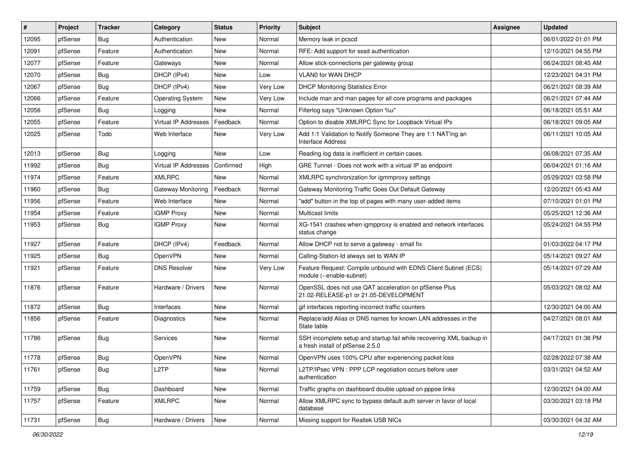| #     | Project | <b>Tracker</b> | Category                | <b>Status</b> | <b>Priority</b> | <b>Subject</b>                                                                                           | <b>Assignee</b> | <b>Updated</b>      |
|-------|---------|----------------|-------------------------|---------------|-----------------|----------------------------------------------------------------------------------------------------------|-----------------|---------------------|
| 12095 | pfSense | Bug            | Authentication          | New           | Normal          | Memory leak in pcscd                                                                                     |                 | 06/01/2022 01:01 PM |
| 12091 | pfSense | Feature        | Authentication          | New           | Normal          | RFE: Add support for sssd authentication                                                                 |                 | 12/10/2021 04:55 PM |
| 12077 | pfSense | Feature        | Gateways                | New           | Normal          | Allow stick-connections per gateway group                                                                |                 | 06/24/2021 08:45 AM |
| 12070 | pfSense | Bug            | DHCP (IPv4)             | New           | Low             | VLAN0 for WAN DHCP                                                                                       |                 | 12/23/2021 04:31 PM |
| 12067 | pfSense | Bug            | DHCP (IPv4)             | New           | Very Low        | <b>DHCP Monitoring Statistics Error</b>                                                                  |                 | 06/21/2021 08:39 AM |
| 12066 | pfSense | Feature        | <b>Operating System</b> | New           | Very Low        | Include man and man pages for all core programs and packages                                             |                 | 06/21/2021 07:44 AM |
| 12056 | pfSense | <b>Bug</b>     | Logging                 | New           | Normal          | Filterlog says "Unknown Option %u"                                                                       |                 | 06/18/2021 05:51 AM |
| 12055 | pfSense | Feature        | Virtual IP Addresses    | Feedback      | Normal          | Option to disable XMLRPC Sync for Loopback Virtual IPs                                                   |                 | 06/18/2021 09:05 AM |
| 12025 | pfSense | Todo           | Web Interface           | New           | Very Low        | Add 1:1 Validation to Notify Someone They are 1:1 NAT'ing an<br><b>Interface Address</b>                 |                 | 06/11/2021 10:05 AM |
| 12013 | pfSense | Bug            | Logging                 | New           | Low             | Reading log data is inefficient in certain cases                                                         |                 | 06/08/2021 07:35 AM |
| 11992 | pfSense | Bug            | Virtual IP Addresses    | Confirmed     | High            | GRE Tunnel - Does not work with a virtual IP as endpoint                                                 |                 | 06/04/2021 01:16 AM |
| 11974 | pfSense | Feature        | <b>XMLRPC</b>           | <b>New</b>    | Normal          | XMLRPC synchronization for igmmproxy settings                                                            |                 | 05/29/2021 03:58 PM |
| 11960 | pfSense | Bug            | Gateway Monitoring      | Feedback      | Normal          | Gateway Monitoring Traffic Goes Out Default Gateway                                                      |                 | 12/20/2021 05:43 AM |
| 11956 | pfSense | Feature        | Web Interface           | New           | Normal          | "add" button in the top of pages with many user-added items                                              |                 | 07/10/2021 01:01 PM |
| 11954 | pfSense | Feature        | <b>IGMP Proxy</b>       | <b>New</b>    | Normal          | Multicast limits                                                                                         |                 | 05/25/2021 12:36 AM |
| 11953 | pfSense | Bug            | <b>IGMP Proxy</b>       | New           | Normal          | XG-1541 crashes when igmpproxy is enabled and network interfaces<br>status change                        |                 | 05/24/2021 04:55 PM |
| 11927 | pfSense | Feature        | DHCP (IPv4)             | Feedback      | Normal          | Allow DHCP not to serve a gateway - small fix                                                            |                 | 01/03/2022 04:17 PM |
| 11925 | pfSense | <b>Bug</b>     | OpenVPN                 | New           | Normal          | Calling-Station-Id always set to WAN IP                                                                  |                 | 05/14/2021 09:27 AM |
| 11921 | pfSense | Feature        | <b>DNS Resolver</b>     | New           | Very Low        | Feature Request: Compile unbound with EDNS Client Subnet (ECS)<br>module (--enable-subnet)               |                 | 05/14/2021 07:29 AM |
| 11876 | pfSense | Feature        | Hardware / Drivers      | New           | Normal          | OpenSSL does not use QAT acceleration on pfSense Plus<br>21.02-RELEASE-p1 or 21.05-DEVELOPMENT           |                 | 05/03/2021 08:02 AM |
| 11872 | pfSense | Bug            | Interfaces              | New           | Normal          | gif interfaces reporting incorrect traffic counters                                                      |                 | 12/30/2021 04:00 AM |
| 11856 | pfSense | Feature        | Diagnostics             | New           | Normal          | Replace/add Alias or DNS names for known LAN addresses in the<br>State table                             |                 | 04/27/2021 08:01 AM |
| 11786 | pfSense | Bug            | Services                | New           | Normal          | SSH incomplete setup and startup fail while recovering XML backup in<br>a fresh install of pfSense 2.5.0 |                 | 04/17/2021 01:36 PM |
| 11778 | pfSense | Bug            | OpenVPN                 | New           | Normal          | OpenVPN uses 100% CPU after experiencing packet loss                                                     |                 | 02/28/2022 07:38 AM |
| 11761 | pfSense | <b>Bug</b>     | L2TP                    | New           | Normal          | L2TP/IPsec VPN : PPP LCP negotiation occurs before user<br>authentication                                |                 | 03/31/2021 04:52 AM |
| 11759 | pfSense | Bug            | Dashboard               | New           | Normal          | Traffic graphs on dashboard double upload on pppoe links                                                 |                 | 12/30/2021 04:00 AM |
| 11757 | pfSense | Feature        | <b>XMLRPC</b>           | New           | Normal          | Allow XMLRPC sync to bypass default auth server in favor of local<br>database                            |                 | 03/30/2021 03:18 PM |
| 11731 | pfSense | i Bug          | Hardware / Drivers      | New           | Normal          | Missing support for Realtek USB NICs                                                                     |                 | 03/30/2021 04:32 AM |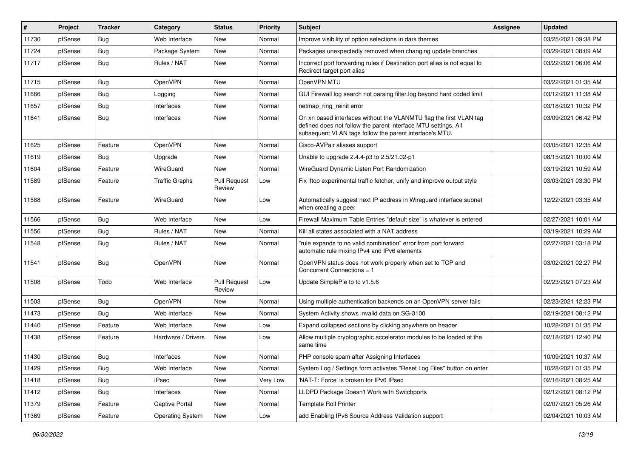| #     | Project | <b>Tracker</b> | Category                | <b>Status</b>                 | <b>Priority</b> | Subject                                                                                                                                                                                         | <b>Assignee</b> | <b>Updated</b>      |
|-------|---------|----------------|-------------------------|-------------------------------|-----------------|-------------------------------------------------------------------------------------------------------------------------------------------------------------------------------------------------|-----------------|---------------------|
| 11730 | pfSense | <b>Bug</b>     | Web Interface           | New                           | Normal          | Improve visibility of option selections in dark themes                                                                                                                                          |                 | 03/25/2021 09:38 PM |
| 11724 | pfSense | Bug            | Package System          | <b>New</b>                    | Normal          | Packages unexpectedly removed when changing update branches                                                                                                                                     |                 | 03/29/2021 08:09 AM |
| 11717 | pfSense | Bug            | Rules / NAT             | New                           | Normal          | Incorrect port forwarding rules if Destination port alias is not equal to<br>Redirect target port alias                                                                                         |                 | 03/22/2021 06:06 AM |
| 11715 | pfSense | Bug            | OpenVPN                 | New                           | Normal          | OpenVPN MTU                                                                                                                                                                                     |                 | 03/22/2021 01:35 AM |
| 11666 | pfSense | Bug            | Logging                 | New                           | Normal          | GUI Firewall log search not parsing filter.log beyond hard coded limit                                                                                                                          |                 | 03/12/2021 11:38 AM |
| 11657 | pfSense | <b>Bug</b>     | Interfaces              | New                           | Normal          | netmap_ring_reinit error                                                                                                                                                                        |                 | 03/18/2021 10:32 PM |
| 11641 | pfSense | <b>Bug</b>     | Interfaces              | New                           | Normal          | On xn based interfaces without the VLANMTU flag the first VLAN tag<br>defined does not follow the parent interface MTU settings. All<br>subsequent VLAN tags follow the parent interface's MTU. |                 | 03/09/2021 06:42 PM |
| 11625 | pfSense | Feature        | OpenVPN                 | New                           | Normal          | Cisco-AVPair aliases support                                                                                                                                                                    |                 | 03/05/2021 12:35 AM |
| 11619 | pfSense | Bug            | Upgrade                 | New                           | Normal          | Unable to upgrade 2.4.4-p3 to 2.5/21.02-p1                                                                                                                                                      |                 | 08/15/2021 10:00 AM |
| 11604 | pfSense | Feature        | WireGuard               | New                           | Normal          | WireGuard Dynamic Listen Port Randomization                                                                                                                                                     |                 | 03/19/2021 10:59 AM |
| 11589 | pfSense | Feature        | <b>Traffic Graphs</b>   | <b>Pull Request</b><br>Review | Low             | Fix iftop experimental traffic fetcher, unify and improve output style                                                                                                                          |                 | 03/03/2021 03:30 PM |
| 11588 | pfSense | Feature        | WireGuard               | New                           | Low             | Automatically suggest next IP address in Wireguard interface subnet<br>when creating a peer                                                                                                     |                 | 12/22/2021 03:35 AM |
| 11566 | pfSense | Bug            | Web Interface           | New                           | Low             | Firewall Maximum Table Entries "default size" is whatever is entered                                                                                                                            |                 | 02/27/2021 10:01 AM |
| 11556 | pfSense | <b>Bug</b>     | Rules / NAT             | <b>New</b>                    | Normal          | Kill all states associated with a NAT address                                                                                                                                                   |                 | 03/19/2021 10:29 AM |
| 11548 | pfSense | <b>Bug</b>     | Rules / NAT             | New                           | Normal          | "rule expands to no valid combination" error from port forward<br>automatic rule mixing IPv4 and IPv6 elements                                                                                  |                 | 02/27/2021 03:18 PM |
| 11541 | pfSense | Bug            | <b>OpenVPN</b>          | New                           | Normal          | OpenVPN status does not work properly when set to TCP and<br>Concurrent Connections = 1                                                                                                         |                 | 03/02/2021 02:27 PM |
| 11508 | pfSense | Todo           | Web Interface           | <b>Pull Request</b><br>Review | Low             | Update SimplePie to to v1.5.6                                                                                                                                                                   |                 | 02/23/2021 07:23 AM |
| 11503 | pfSense | <b>Bug</b>     | <b>OpenVPN</b>          | New                           | Normal          | Using multiple authentication backends on an OpenVPN server fails                                                                                                                               |                 | 02/23/2021 12:23 PM |
| 11473 | pfSense | Bug            | Web Interface           | New                           | Normal          | System Activity shows invalid data on SG-3100                                                                                                                                                   |                 | 02/19/2021 08:12 PM |
| 11440 | pfSense | Feature        | Web Interface           | New                           | Low             | Expand collapsed sections by clicking anywhere on header                                                                                                                                        |                 | 10/28/2021 01:35 PM |
| 11438 | pfSense | Feature        | Hardware / Drivers      | New                           | Low             | Allow multiple cryptographic accelerator modules to be loaded at the<br>same time                                                                                                               |                 | 02/18/2021 12:40 PM |
| 11430 | pfSense | <b>Bug</b>     | Interfaces              | New                           | Normal          | PHP console spam after Assigning Interfaces                                                                                                                                                     |                 | 10/09/2021 10:37 AM |
| 11429 | pfSense | Bug            | Web Interface           | New                           | Normal          | System Log / Settings form activates "Reset Log Files" button on enter                                                                                                                          |                 | 10/28/2021 01:35 PM |
| 11418 | pfSense | <b>Bug</b>     | <b>IPsec</b>            | New                           | Very Low        | 'NAT-T: Force' is broken for IPv6 IPsec                                                                                                                                                         |                 | 02/16/2021 08:25 AM |
| 11412 | pfSense | <b>Bug</b>     | Interfaces              | New                           | Normal          | LLDPD Package Doesn't Work with Switchports                                                                                                                                                     |                 | 02/12/2021 08:12 PM |
| 11379 | pfSense | Feature        | Captive Portal          | New                           | Normal          | <b>Template Roll Printer</b>                                                                                                                                                                    |                 | 02/07/2021 05:26 AM |
| 11369 | pfSense | Feature        | <b>Operating System</b> | New                           | Low             | add Enabling IPv6 Source Address Validation support                                                                                                                                             |                 | 02/04/2021 10:03 AM |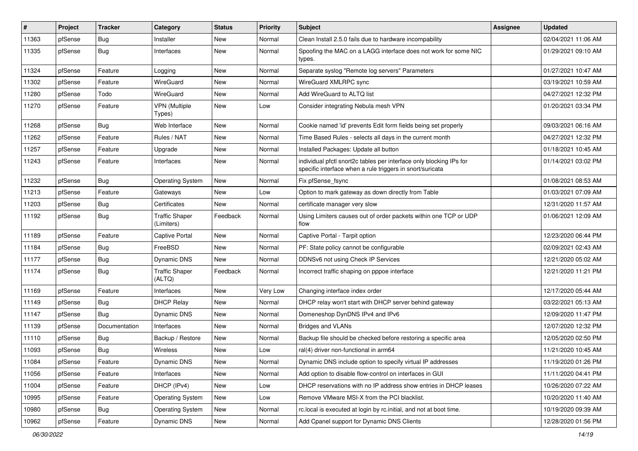| $\pmb{\sharp}$ | Project | <b>Tracker</b> | Category                            | <b>Status</b> | <b>Priority</b> | Subject                                                                                                                          | <b>Assignee</b> | <b>Updated</b>      |
|----------------|---------|----------------|-------------------------------------|---------------|-----------------|----------------------------------------------------------------------------------------------------------------------------------|-----------------|---------------------|
| 11363          | pfSense | <b>Bug</b>     | Installer                           | New           | Normal          | Clean Install 2.5.0 fails due to hardware incompability                                                                          |                 | 02/04/2021 11:06 AM |
| 11335          | pfSense | Bug            | Interfaces                          | New           | Normal          | Spoofing the MAC on a LAGG interface does not work for some NIC<br>types.                                                        |                 | 01/29/2021 09:10 AM |
| 11324          | pfSense | Feature        | Logging                             | <b>New</b>    | Normal          | Separate syslog "Remote log servers" Parameters                                                                                  |                 | 01/27/2021 10:47 AM |
| 11302          | pfSense | Feature        | WireGuard                           | New           | Normal          | WireGuard XMLRPC sync                                                                                                            |                 | 03/19/2021 10:59 AM |
| 11280          | pfSense | Todo           | WireGuard                           | New           | Normal          | Add WireGuard to ALTQ list                                                                                                       |                 | 04/27/2021 12:32 PM |
| 11270          | pfSense | Feature        | <b>VPN</b> (Multiple<br>Types)      | New           | Low             | Consider integrating Nebula mesh VPN                                                                                             |                 | 01/20/2021 03:34 PM |
| 11268          | pfSense | Bug            | Web Interface                       | New           | Normal          | Cookie named 'id' prevents Edit form fields being set properly                                                                   |                 | 09/03/2021 06:16 AM |
| 11262          | pfSense | Feature        | Rules / NAT                         | <b>New</b>    | Normal          | Time Based Rules - selects all days in the current month                                                                         |                 | 04/27/2021 12:32 PM |
| 11257          | pfSense | Feature        | Upgrade                             | New           | Normal          | Installed Packages: Update all button                                                                                            |                 | 01/18/2021 10:45 AM |
| 11243          | pfSense | Feature        | Interfaces                          | New           | Normal          | individual pfctl snort2c tables per interface only blocking IPs for<br>specific interface when a rule triggers in snort/suricata |                 | 01/14/2021 03:02 PM |
| 11232          | pfSense | Bug            | <b>Operating System</b>             | New           | Normal          | Fix pfSense_fsync                                                                                                                |                 | 01/08/2021 08:53 AM |
| 11213          | pfSense | Feature        | Gateways                            | New           | Low             | Option to mark gateway as down directly from Table                                                                               |                 | 01/03/2021 07:09 AM |
| 11203          | pfSense | Bug            | Certificates                        | <b>New</b>    | Normal          | certificate manager very slow                                                                                                    |                 | 12/31/2020 11:57 AM |
| 11192          | pfSense | Bug            | <b>Traffic Shaper</b><br>(Limiters) | Feedback      | Normal          | Using Limiters causes out of order packets within one TCP or UDP<br>flow                                                         |                 | 01/06/2021 12:09 AM |
| 11189          | pfSense | Feature        | Captive Portal                      | New           | Normal          | Captive Portal - Tarpit option                                                                                                   |                 | 12/23/2020 06:44 PM |
| 11184          | pfSense | Bug            | FreeBSD                             | <b>New</b>    | Normal          | PF: State policy cannot be configurable                                                                                          |                 | 02/09/2021 02:43 AM |
| 11177          | pfSense | Bug            | <b>Dynamic DNS</b>                  | New           | Normal          | DDNSv6 not using Check IP Services                                                                                               |                 | 12/21/2020 05:02 AM |
| 11174          | pfSense | Bug            | <b>Traffic Shaper</b><br>(ALTQ)     | Feedback      | Normal          | Incorrect traffic shaping on pppoe interface                                                                                     |                 | 12/21/2020 11:21 PM |
| 11169          | pfSense | Feature        | Interfaces                          | <b>New</b>    | Very Low        | Changing interface index order                                                                                                   |                 | 12/17/2020 05:44 AM |
| 11149          | pfSense | Bug            | <b>DHCP Relay</b>                   | New           | Normal          | DHCP relay won't start with DHCP server behind gateway                                                                           |                 | 03/22/2021 05:13 AM |
| 11147          | pfSense | Bug            | <b>Dynamic DNS</b>                  | <b>New</b>    | Normal          | Domeneshop DynDNS IPv4 and IPv6                                                                                                  |                 | 12/09/2020 11:47 PM |
| 11139          | pfSense | Documentation  | Interfaces                          | New           | Normal          | <b>Bridges and VLANs</b>                                                                                                         |                 | 12/07/2020 12:32 PM |
| 11110          | pfSense | <b>Bug</b>     | Backup / Restore                    | New           | Normal          | Backup file should be checked before restoring a specific area                                                                   |                 | 12/05/2020 02:50 PM |
| 11093          | pfSense | Bug            | Wireless                            | New           | Low             | ral(4) driver non-functional in arm64                                                                                            |                 | 11/21/2020 10:45 AM |
| 11084          | pfSense | Feature        | Dynamic DNS                         | New           | Normal          | Dynamic DNS include option to specify virtual IP addresses                                                                       |                 | 11/19/2020 01:26 PM |
| 11056          | pfSense | Feature        | Interfaces                          | New           | Normal          | Add option to disable flow-control on interfaces in GUI                                                                          |                 | 11/11/2020 04:41 PM |
| 11004          | pfSense | Feature        | DHCP (IPv4)                         | New           | Low             | DHCP reservations with no IP address show entries in DHCP leases                                                                 |                 | 10/26/2020 07:22 AM |
| 10995          | pfSense | Feature        | <b>Operating System</b>             | New           | Low             | Remove VMware MSI-X from the PCI blacklist.                                                                                      |                 | 10/20/2020 11:40 AM |
| 10980          | pfSense | <b>Bug</b>     | <b>Operating System</b>             | New           | Normal          | rc.local is executed at login by rc.initial, and not at boot time.                                                               |                 | 10/19/2020 09:39 AM |
| 10962          | pfSense | Feature        | Dynamic DNS                         | New           | Normal          | Add Cpanel support for Dynamic DNS Clients                                                                                       |                 | 12/28/2020 01:56 PM |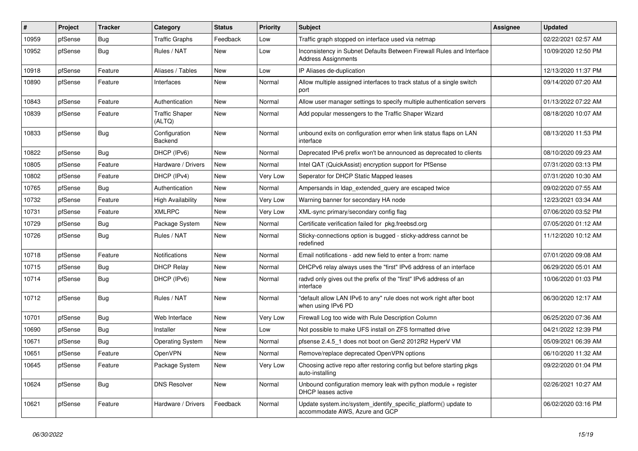| #     | Project | <b>Tracker</b> | Category                        | <b>Status</b> | <b>Priority</b> | <b>Subject</b>                                                                                      | Assignee | <b>Updated</b>      |
|-------|---------|----------------|---------------------------------|---------------|-----------------|-----------------------------------------------------------------------------------------------------|----------|---------------------|
| 10959 | pfSense | <b>Bug</b>     | <b>Traffic Graphs</b>           | Feedback      | Low             | Traffic graph stopped on interface used via netmap                                                  |          | 02/22/2021 02:57 AM |
| 10952 | pfSense | <b>Bug</b>     | Rules / NAT                     | <b>New</b>    | Low             | Inconsistency in Subnet Defaults Between Firewall Rules and Interface<br><b>Address Assignments</b> |          | 10/09/2020 12:50 PM |
| 10918 | pfSense | Feature        | Aliases / Tables                | New           | Low             | IP Aliases de-duplication                                                                           |          | 12/13/2020 11:37 PM |
| 10890 | pfSense | Feature        | Interfaces                      | <b>New</b>    | Normal          | Allow multiple assigned interfaces to track status of a single switch<br>port                       |          | 09/14/2020 07:20 AM |
| 10843 | pfSense | Feature        | Authentication                  | <b>New</b>    | Normal          | Allow user manager settings to specify multiple authentication servers                              |          | 01/13/2022 07:22 AM |
| 10839 | pfSense | Feature        | <b>Traffic Shaper</b><br>(ALTQ) | New           | Normal          | Add popular messengers to the Traffic Shaper Wizard                                                 |          | 08/18/2020 10:07 AM |
| 10833 | pfSense | Bug            | Configuration<br>Backend        | New           | Normal          | unbound exits on configuration error when link status flaps on LAN<br>interface                     |          | 08/13/2020 11:53 PM |
| 10822 | pfSense | <b>Bug</b>     | DHCP (IPv6)                     | New           | Normal          | Deprecated IPv6 prefix won't be announced as deprecated to clients                                  |          | 08/10/2020 09:23 AM |
| 10805 | pfSense | Feature        | Hardware / Drivers              | New           | Normal          | Intel QAT (QuickAssist) encryption support for PfSense                                              |          | 07/31/2020 03:13 PM |
| 10802 | pfSense | Feature        | DHCP (IPv4)                     | New           | Very Low        | Seperator for DHCP Static Mapped leases                                                             |          | 07/31/2020 10:30 AM |
| 10765 | pfSense | <b>Bug</b>     | Authentication                  | New           | Normal          | Ampersands in Idap extended query are escaped twice                                                 |          | 09/02/2020 07:55 AM |
| 10732 | pfSense | Feature        | <b>High Availability</b>        | New           | Very Low        | Warning banner for secondary HA node                                                                |          | 12/23/2021 03:34 AM |
| 10731 | pfSense | Feature        | <b>XMLRPC</b>                   | New           | Very Low        | XML-sync primary/secondary config flag                                                              |          | 07/06/2020 03:52 PM |
| 10729 | pfSense | <b>Bug</b>     | Package System                  | New           | Normal          | Certificate verification failed for pkg.freebsd.org                                                 |          | 07/05/2020 01:12 AM |
| 10726 | pfSense | <b>Bug</b>     | Rules / NAT                     | New           | Normal          | Sticky-connections option is bugged - sticky-address cannot be<br>redefined                         |          | 11/12/2020 10:12 AM |
| 10718 | pfSense | Feature        | Notifications                   | <b>New</b>    | Normal          | Email notifications - add new field to enter a from: name                                           |          | 07/01/2020 09:08 AM |
| 10715 | pfSense | <b>Bug</b>     | <b>DHCP Relay</b>               | <b>New</b>    | Normal          | DHCPv6 relay always uses the "first" IPv6 address of an interface                                   |          | 06/29/2020 05:01 AM |
| 10714 | pfSense | Bug            | DHCP (IPv6)                     | <b>New</b>    | Normal          | radvd only gives out the prefix of the "first" IPv6 address of an<br>interface                      |          | 10/06/2020 01:03 PM |
| 10712 | pfSense | Bug            | Rules / NAT                     | New           | Normal          | default allow LAN IPv6 to any" rule does not work right after boot<br>when using IPv6 PD            |          | 06/30/2020 12:17 AM |
| 10701 | pfSense | Bug            | Web Interface                   | New           | Very Low        | Firewall Log too wide with Rule Description Column                                                  |          | 06/25/2020 07:36 AM |
| 10690 | pfSense | Bug            | Installer                       | New           | Low             | Not possible to make UFS install on ZFS formatted drive                                             |          | 04/21/2022 12:39 PM |
| 10671 | pfSense | <b>Bug</b>     | <b>Operating System</b>         | New           | Normal          | pfsense 2.4.5 1 does not boot on Gen2 2012R2 HyperV VM                                              |          | 05/09/2021 06:39 AM |
| 10651 | pfSense | Feature        | OpenVPN                         | New           | Normal          | Remove/replace deprecated OpenVPN options                                                           |          | 06/10/2020 11:32 AM |
| 10645 | pfSense | Feature        | Package System                  | New           | Very Low        | Choosing active repo after restoring config but before starting pkgs<br>auto-installing             |          | 09/22/2020 01:04 PM |
| 10624 | pfSense | <b>Bug</b>     | <b>DNS Resolver</b>             | New           | Normal          | Unbound configuration memory leak with python module $+$ register<br>DHCP leases active             |          | 02/26/2021 10:27 AM |
| 10621 | pfSense | Feature        | Hardware / Drivers              | Feedback      | Normal          | Update system.inc/system identify specific platform() update to<br>accommodate AWS, Azure and GCP   |          | 06/02/2020 03:16 PM |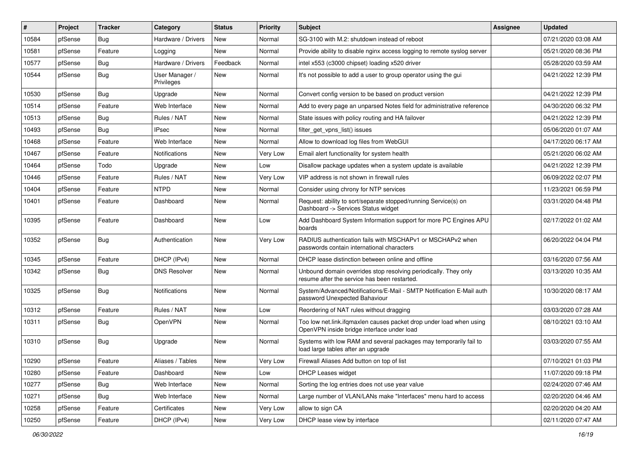| #     | Project | <b>Tracker</b> | Category                     | <b>Status</b> | <b>Priority</b> | <b>Subject</b>                                                                                                    | <b>Assignee</b> | <b>Updated</b>      |
|-------|---------|----------------|------------------------------|---------------|-----------------|-------------------------------------------------------------------------------------------------------------------|-----------------|---------------------|
| 10584 | pfSense | <b>Bug</b>     | Hardware / Drivers           | New           | Normal          | SG-3100 with M.2: shutdown instead of reboot                                                                      |                 | 07/21/2020 03:08 AM |
| 10581 | pfSense | Feature        | Logging                      | New           | Normal          | Provide ability to disable nginx access logging to remote syslog server                                           |                 | 05/21/2020 08:36 PM |
| 10577 | pfSense | <b>Bug</b>     | Hardware / Drivers           | Feedback      | Normal          | intel x553 (c3000 chipset) loading x520 driver                                                                    |                 | 05/28/2020 03:59 AM |
| 10544 | pfSense | <b>Bug</b>     | User Manager /<br>Privileges | New           | Normal          | It's not possible to add a user to group operator using the gui                                                   |                 | 04/21/2022 12:39 PM |
| 10530 | pfSense | <b>Bug</b>     | Upgrade                      | New           | Normal          | Convert config version to be based on product version                                                             |                 | 04/21/2022 12:39 PM |
| 10514 | pfSense | Feature        | Web Interface                | New           | Normal          | Add to every page an unparsed Notes field for administrative reference                                            |                 | 04/30/2020 06:32 PM |
| 10513 | pfSense | <b>Bug</b>     | Rules / NAT                  | <b>New</b>    | Normal          | State issues with policy routing and HA failover                                                                  |                 | 04/21/2022 12:39 PM |
| 10493 | pfSense | Bug            | <b>IPsec</b>                 | New           | Normal          | filter_get_vpns_list() issues                                                                                     |                 | 05/06/2020 01:07 AM |
| 10468 | pfSense | Feature        | Web Interface                | New           | Normal          | Allow to download log files from WebGUI                                                                           |                 | 04/17/2020 06:17 AM |
| 10467 | pfSense | Feature        | Notifications                | New           | Very Low        | Email alert functionality for system health                                                                       |                 | 05/21/2020 06:02 AM |
| 10464 | pfSense | Todo           | Upgrade                      | New           | Low             | Disallow package updates when a system update is available                                                        |                 | 04/21/2022 12:39 PM |
| 10446 | pfSense | Feature        | Rules / NAT                  | New           | Very Low        | VIP address is not shown in firewall rules                                                                        |                 | 06/09/2022 02:07 PM |
| 10404 | pfSense | Feature        | <b>NTPD</b>                  | New           | Normal          | Consider using chrony for NTP services                                                                            |                 | 11/23/2021 06:59 PM |
| 10401 | pfSense | Feature        | Dashboard                    | New           | Normal          | Request: ability to sort/separate stopped/running Service(s) on<br>Dashboard -> Services Status widget            |                 | 03/31/2020 04:48 PM |
| 10395 | pfSense | Feature        | Dashboard                    | New           | Low             | Add Dashboard System Information support for more PC Engines APU<br>boards                                        |                 | 02/17/2022 01:02 AM |
| 10352 | pfSense | Bug            | Authentication               | New           | Very Low        | RADIUS authentication fails with MSCHAPv1 or MSCHAPv2 when<br>passwords contain international characters          |                 | 06/20/2022 04:04 PM |
| 10345 | pfSense | Feature        | DHCP (IPv4)                  | New           | Normal          | DHCP lease distinction between online and offline                                                                 |                 | 03/16/2020 07:56 AM |
| 10342 | pfSense | <b>Bug</b>     | <b>DNS Resolver</b>          | New           | Normal          | Unbound domain overrides stop resolving periodically. They only<br>resume after the service has been restarted.   |                 | 03/13/2020 10:35 AM |
| 10325 | pfSense | Bug            | <b>Notifications</b>         | New           | Normal          | System/Advanced/Notifications/E-Mail - SMTP Notification E-Mail auth<br>password Unexpected Bahaviour             |                 | 10/30/2020 08:17 AM |
| 10312 | pfSense | Feature        | Rules / NAT                  | <b>New</b>    | Low             | Reordering of NAT rules without dragging                                                                          |                 | 03/03/2020 07:28 AM |
| 10311 | pfSense | <b>Bug</b>     | OpenVPN                      | New           | Normal          | Too low net.link.ifqmaxlen causes packet drop under load when using<br>OpenVPN inside bridge interface under load |                 | 08/10/2021 03:10 AM |
| 10310 | pfSense | Bug            | Upgrade                      | New           | Normal          | Systems with low RAM and several packages may temporarily fail to<br>load large tables after an upgrade           |                 | 03/03/2020 07:55 AM |
| 10290 | pfSense | Feature        | Aliases / Tables             | New           | Very Low        | Firewall Aliases Add button on top of list                                                                        |                 | 07/10/2021 01:03 PM |
| 10280 | pfSense | Feature        | Dashboard                    | New           | Low             | <b>DHCP Leases widget</b>                                                                                         |                 | 11/07/2020 09:18 PM |
| 10277 | pfSense | <b>Bug</b>     | Web Interface                | New           | Normal          | Sorting the log entries does not use year value                                                                   |                 | 02/24/2020 07:46 AM |
| 10271 | pfSense | <b>Bug</b>     | Web Interface                | New           | Normal          | Large number of VLAN/LANs make "Interfaces" menu hard to access                                                   |                 | 02/20/2020 04:46 AM |
| 10258 | pfSense | Feature        | Certificates                 | New           | Very Low        | allow to sign CA                                                                                                  |                 | 02/20/2020 04:20 AM |
| 10250 | pfSense | Feature        | DHCP (IPv4)                  | New           | Very Low        | DHCP lease view by interface                                                                                      |                 | 02/11/2020 07:47 AM |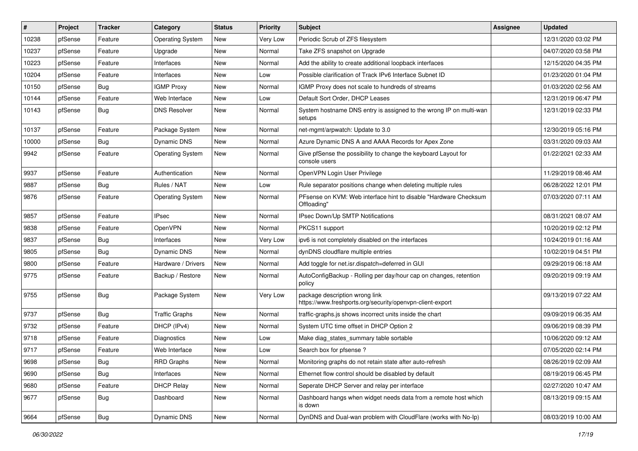| $\vert$ # | Project | <b>Tracker</b> | Category                | <b>Status</b> | <b>Priority</b> | Subject                                                                                     | <b>Assignee</b> | <b>Updated</b>      |
|-----------|---------|----------------|-------------------------|---------------|-----------------|---------------------------------------------------------------------------------------------|-----------------|---------------------|
| 10238     | pfSense | Feature        | <b>Operating System</b> | New           | Very Low        | Periodic Scrub of ZFS filesystem                                                            |                 | 12/31/2020 03:02 PM |
| 10237     | pfSense | Feature        | Upgrade                 | New           | Normal          | Take ZFS snapshot on Upgrade                                                                |                 | 04/07/2020 03:58 PM |
| 10223     | pfSense | Feature        | Interfaces              | New           | Normal          | Add the ability to create additional loopback interfaces                                    |                 | 12/15/2020 04:35 PM |
| 10204     | pfSense | Feature        | Interfaces              | New           | Low             | Possible clarification of Track IPv6 Interface Subnet ID                                    |                 | 01/23/2020 01:04 PM |
| 10150     | pfSense | Bug            | <b>IGMP Proxy</b>       | New           | Normal          | IGMP Proxy does not scale to hundreds of streams                                            |                 | 01/03/2020 02:56 AM |
| 10144     | pfSense | Feature        | Web Interface           | New           | Low             | Default Sort Order, DHCP Leases                                                             |                 | 12/31/2019 06:47 PM |
| 10143     | pfSense | <b>Bug</b>     | <b>DNS Resolver</b>     | New           | Normal          | System hostname DNS entry is assigned to the wrong IP on multi-wan<br>setups                |                 | 12/31/2019 02:33 PM |
| 10137     | pfSense | Feature        | Package System          | New           | Normal          | net-mgmt/arpwatch: Update to 3.0                                                            |                 | 12/30/2019 05:16 PM |
| 10000     | pfSense | Bug            | Dynamic DNS             | New           | Normal          | Azure Dynamic DNS A and AAAA Records for Apex Zone                                          |                 | 03/31/2020 09:03 AM |
| 9942      | pfSense | Feature        | <b>Operating System</b> | New           | Normal          | Give pfSense the possibility to change the keyboard Layout for<br>console users             |                 | 01/22/2021 02:33 AM |
| 9937      | pfSense | Feature        | Authentication          | New           | Normal          | OpenVPN Login User Privilege                                                                |                 | 11/29/2019 08:46 AM |
| 9887      | pfSense | Bug            | Rules / NAT             | New           | Low             | Rule separator positions change when deleting multiple rules                                |                 | 06/28/2022 12:01 PM |
| 9876      | pfSense | Feature        | <b>Operating System</b> | New           | Normal          | PFsense on KVM: Web interface hint to disable "Hardware Checksum<br>Offloading'             |                 | 07/03/2020 07:11 AM |
| 9857      | pfSense | Feature        | <b>IPsec</b>            | <b>New</b>    | Normal          | IPsec Down/Up SMTP Notifications                                                            |                 | 08/31/2021 08:07 AM |
| 9838      | pfSense | Feature        | OpenVPN                 | New           | Normal          | PKCS11 support                                                                              |                 | 10/20/2019 02:12 PM |
| 9837      | pfSense | Bug            | Interfaces              | New           | Very Low        | ipv6 is not completely disabled on the interfaces                                           |                 | 10/24/2019 01:16 AM |
| 9805      | pfSense | Bug            | <b>Dynamic DNS</b>      | New           | Normal          | dynDNS cloudflare multiple entries                                                          |                 | 10/02/2019 04:51 PM |
| 9800      | pfSense | Feature        | Hardware / Drivers      | <b>New</b>    | Normal          | Add toggle for net.isr.dispatch=deferred in GUI                                             |                 | 09/29/2019 06:18 AM |
| 9775      | pfSense | Feature        | Backup / Restore        | New           | Normal          | AutoConfigBackup - Rolling per day/hour cap on changes, retention<br>policy                 |                 | 09/20/2019 09:19 AM |
| 9755      | pfSense | Bug            | Package System          | New           | Very Low        | package description wrong link<br>https://www.freshports.org/security/openvpn-client-export |                 | 09/13/2019 07:22 AM |
| 9737      | pfSense | <b>Bug</b>     | <b>Traffic Graphs</b>   | <b>New</b>    | Normal          | traffic-graphs.js shows incorrect units inside the chart                                    |                 | 09/09/2019 06:35 AM |
| 9732      | pfSense | Feature        | DHCP (IPv4)             | New           | Normal          | System UTC time offset in DHCP Option 2                                                     |                 | 09/06/2019 08:39 PM |
| 9718      | pfSense | Feature        | Diagnostics             | New           | Low             | Make diag_states_summary table sortable                                                     |                 | 10/06/2020 09:12 AM |
| 9717      | pfSense | Feature        | Web Interface           | New           | Low             | Search box for pfsense?                                                                     |                 | 07/05/2020 02:14 PM |
| 9698      | pfSense | Bug            | RRD Graphs              | New           | Normal          | Monitoring graphs do not retain state after auto-refresh                                    |                 | 08/26/2019 02:09 AM |
| 9690      | pfSense | Bug            | Interfaces              | New           | Normal          | Ethernet flow control should be disabled by default                                         |                 | 08/19/2019 06:45 PM |
| 9680      | pfSense | Feature        | <b>DHCP Relay</b>       | New           | Normal          | Seperate DHCP Server and relay per interface                                                |                 | 02/27/2020 10:47 AM |
| 9677      | pfSense | <b>Bug</b>     | Dashboard               | New           | Normal          | Dashboard hangs when widget needs data from a remote host which<br>is down                  |                 | 08/13/2019 09:15 AM |
| 9664      | pfSense | Bug            | Dynamic DNS             | New           | Normal          | DynDNS and Dual-wan problem with CloudFlare (works with No-Ip)                              |                 | 08/03/2019 10:00 AM |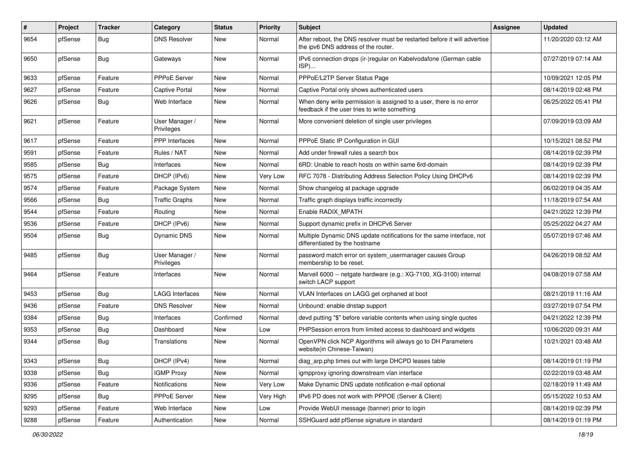| #    | Project | <b>Tracker</b> | Category                     | <b>Status</b> | <b>Priority</b> | <b>Subject</b>                                                                                                       | Assignee | <b>Updated</b>      |
|------|---------|----------------|------------------------------|---------------|-----------------|----------------------------------------------------------------------------------------------------------------------|----------|---------------------|
| 9654 | pfSense | <b>Bug</b>     | <b>DNS Resolver</b>          | New           | Normal          | After reboot, the DNS resolver must be restarted before it will advertise<br>the ipv6 DNS address of the router.     |          | 11/20/2020 03:12 AM |
| 9650 | pfSense | Bug            | Gateways                     | New           | Normal          | IPv6 connection drops (ir-)regular on Kabelvodafone (German cable<br>ISP)                                            |          | 07/27/2019 07:14 AM |
| 9633 | pfSense | Feature        | <b>PPPoE Server</b>          | New           | Normal          | PPPoE/L2TP Server Status Page                                                                                        |          | 10/09/2021 12:05 PM |
| 9627 | pfSense | Feature        | <b>Captive Portal</b>        | New           | Normal          | Captive Portal only shows authenticated users                                                                        |          | 08/14/2019 02:48 PM |
| 9626 | pfSense | Bug            | Web Interface                | New           | Normal          | When deny write permission is assigned to a user, there is no error<br>feedback if the user tries to write something |          | 06/25/2022 05:41 PM |
| 9621 | pfSense | Feature        | User Manager /<br>Privileges | <b>New</b>    | Normal          | More convenient deletion of single user privileges                                                                   |          | 07/09/2019 03:09 AM |
| 9617 | pfSense | Feature        | <b>PPP</b> Interfaces        | <b>New</b>    | Normal          | PPPoE Static IP Configuration in GUI                                                                                 |          | 10/15/2021 08:52 PM |
| 9591 | pfSense | Feature        | Rules / NAT                  | New           | Normal          | Add under firewall rules a search box                                                                                |          | 08/14/2019 02:39 PM |
| 9585 | pfSense | Bug            | Interfaces                   | New           | Normal          | 6RD: Unable to reach hosts on within same 6rd-domain                                                                 |          | 08/14/2019 02:39 PM |
| 9575 | pfSense | Feature        | DHCP (IPv6)                  | New           | Very Low        | RFC 7078 - Distributing Address Selection Policy Using DHCPv6                                                        |          | 08/14/2019 02:39 PM |
| 9574 | pfSense | Feature        | Package System               | New           | Normal          | Show changelog at package upgrade                                                                                    |          | 06/02/2019 04:35 AM |
| 9566 | pfSense | Bug            | <b>Traffic Graphs</b>        | New           | Normal          | Traffic graph displays traffic incorrectly                                                                           |          | 11/18/2019 07:54 AM |
| 9544 | pfSense | Feature        | Routing                      | New           | Normal          | Enable RADIX MPATH                                                                                                   |          | 04/21/2022 12:39 PM |
| 9536 | pfSense | Feature        | DHCP (IPv6)                  | New           | Normal          | Support dynamic prefix in DHCPv6 Server                                                                              |          | 05/25/2022 04:27 AM |
| 9504 | pfSense | Bug            | <b>Dynamic DNS</b>           | New           | Normal          | Multiple Dynamic DNS update notifications for the same interface, not<br>differentiated by the hostname              |          | 05/07/2019 07:46 AM |
| 9485 | pfSense | Bug            | User Manager /<br>Privileges | New           | Normal          | password match error on system_usermanager causes Group<br>membership to be reset.                                   |          | 04/26/2019 08:52 AM |
| 9464 | pfSense | Feature        | Interfaces                   | New           | Normal          | Marvell 6000 -- netgate hardware (e.g.: XG-7100, XG-3100) internal<br>switch LACP support                            |          | 04/08/2019 07:58 AM |
| 9453 | pfSense | Bug            | <b>LAGG Interfaces</b>       | New           | Normal          | VLAN Interfaces on LAGG get orphaned at boot                                                                         |          | 08/21/2019 11:16 AM |
| 9436 | pfSense | Feature        | <b>DNS Resolver</b>          | New           | Normal          | Unbound: enable dnstap support                                                                                       |          | 03/27/2019 07:54 PM |
| 9384 | pfSense | Bug            | Interfaces                   | Confirmed     | Normal          | devd putting "\$" before variable contents when using single quotes                                                  |          | 04/21/2022 12:39 PM |
| 9353 | pfSense | <b>Bug</b>     | Dashboard                    | New           | Low             | PHPSession errors from limited access to dashboard and widgets                                                       |          | 10/06/2020 09:31 AM |
| 9344 | pfSense | Bug            | Translations                 | New           | Normal          | OpenVPN click NCP Algorithms will always go to DH Parameters<br>website(in Chinese-Taiwan)                           |          | 10/21/2021 03:48 AM |
| 9343 | pfSense | <b>Bug</b>     | DHCP (IPv4)                  | New           | Normal          | diag_arp.php times out with large DHCPD leases table                                                                 |          | 08/14/2019 01:19 PM |
| 9338 | pfSense | <b>Bug</b>     | <b>IGMP Proxy</b>            | New           | Normal          | igmpproxy ignoring downstream vlan interface                                                                         |          | 02/22/2019 03:48 AM |
| 9336 | pfSense | Feature        | Notifications                | New           | Very Low        | Make Dynamic DNS update notification e-mail optional                                                                 |          | 02/18/2019 11:49 AM |
| 9295 | pfSense | <b>Bug</b>     | PPPoE Server                 | New           | Very High       | IPv6 PD does not work with PPPOE (Server & Client)                                                                   |          | 05/15/2022 10:53 AM |
| 9293 | pfSense | Feature        | Web Interface                | New           | Low             | Provide WebUI message (banner) prior to login                                                                        |          | 08/14/2019 02:39 PM |
| 9288 | pfSense | Feature        | Authentication               | New           | Normal          | SSHGuard add pfSense signature in standard                                                                           |          | 08/14/2019 01:19 PM |